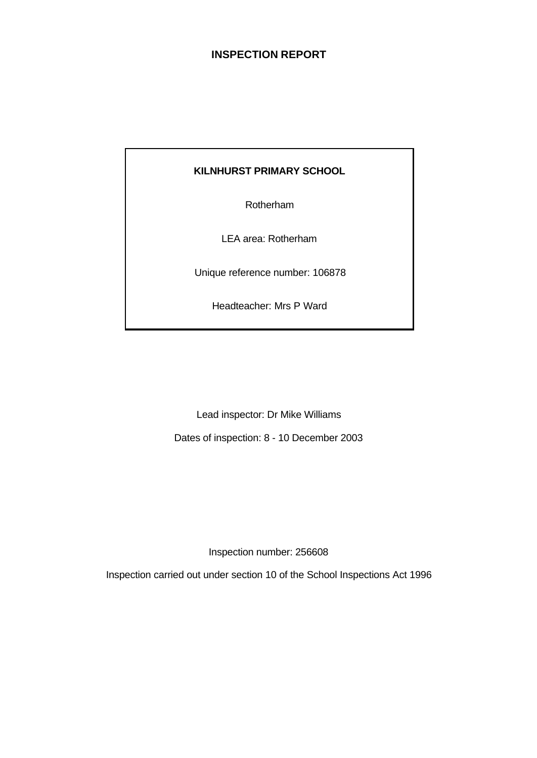# **INSPECTION REPORT**

# **KILNHURST PRIMARY SCHOOL**

Rotherham

LEA area: Rotherham

Unique reference number: 106878

Headteacher: Mrs P Ward

Lead inspector: Dr Mike Williams

Dates of inspection: 8 - 10 December 2003

Inspection number: 256608

Inspection carried out under section 10 of the School Inspections Act 1996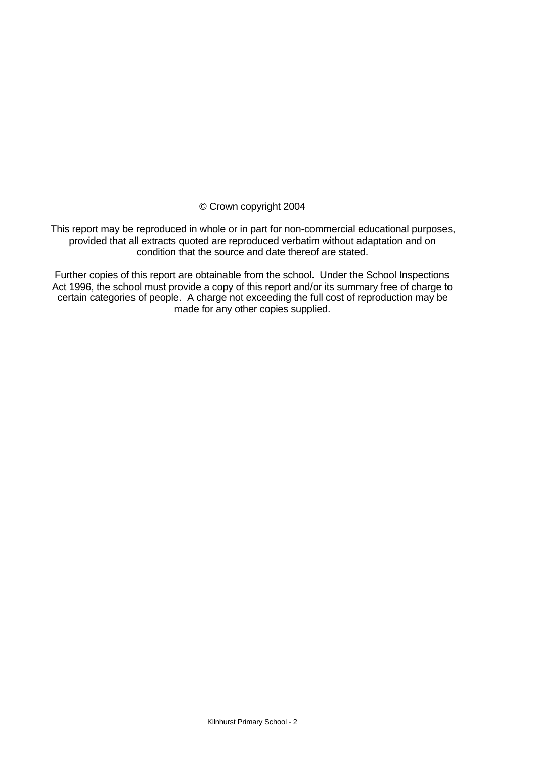© Crown copyright 2004

This report may be reproduced in whole or in part for non-commercial educational purposes, provided that all extracts quoted are reproduced verbatim without adaptation and on condition that the source and date thereof are stated.

Further copies of this report are obtainable from the school. Under the School Inspections Act 1996, the school must provide a copy of this report and/or its summary free of charge to certain categories of people. A charge not exceeding the full cost of reproduction may be made for any other copies supplied.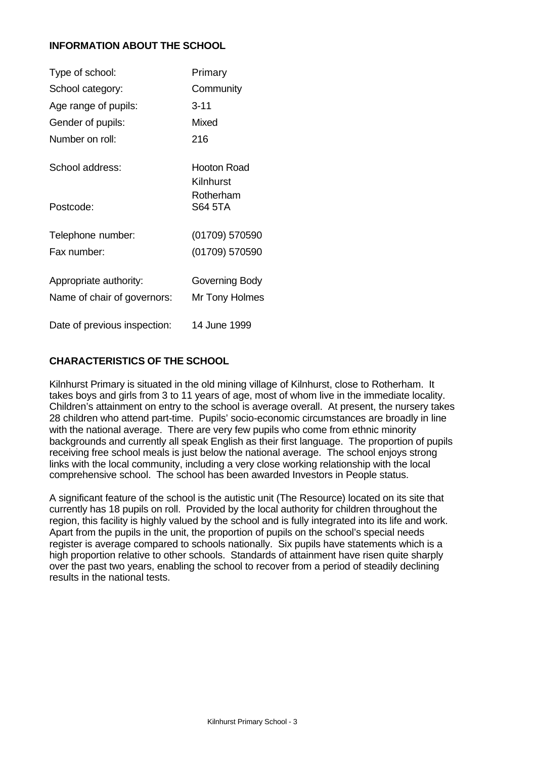# **INFORMATION ABOUT THE SCHOOL**

| Type of school:              | Primary                         |
|------------------------------|---------------------------------|
| School category:             | Community                       |
| Age range of pupils:         | $3 - 11$                        |
| Gender of pupils:            | Mixed                           |
| Number on roll:              | 216                             |
| School address:              | <b>Hooton Road</b><br>Kilnhurst |
| Postcode:                    | Rotherham<br><b>S64 5TA</b>     |
| Telephone number:            | (01709) 570590                  |
| Fax number:                  | (01709) 570590                  |
| Appropriate authority:       | Governing Body                  |
| Name of chair of governors:  | Mr Tony Holmes                  |
| Date of previous inspection: | 14 June 1999                    |

## **CHARACTERISTICS OF THE SCHOOL**

Kilnhurst Primary is situated in the old mining village of Kilnhurst, close to Rotherham. It takes boys and girls from 3 to 11 years of age, most of whom live in the immediate locality. Children's attainment on entry to the school is average overall. At present, the nursery takes 28 children who attend part-time. Pupils' socio-economic circumstances are broadly in line with the national average. There are very few pupils who come from ethnic minority backgrounds and currently all speak English as their first language. The proportion of pupils receiving free school meals is just below the national average. The school enjoys strong links with the local community, including a very close working relationship with the local comprehensive school. The school has been awarded Investors in People status.

A significant feature of the school is the autistic unit (The Resource) located on its site that currently has 18 pupils on roll. Provided by the local authority for children throughout the region, this facility is highly valued by the school and is fully integrated into its life and work. Apart from the pupils in the unit, the proportion of pupils on the school's special needs register is average compared to schools nationally. Six pupils have statements which is a high proportion relative to other schools. Standards of attainment have risen quite sharply over the past two years, enabling the school to recover from a period of steadily declining results in the national tests.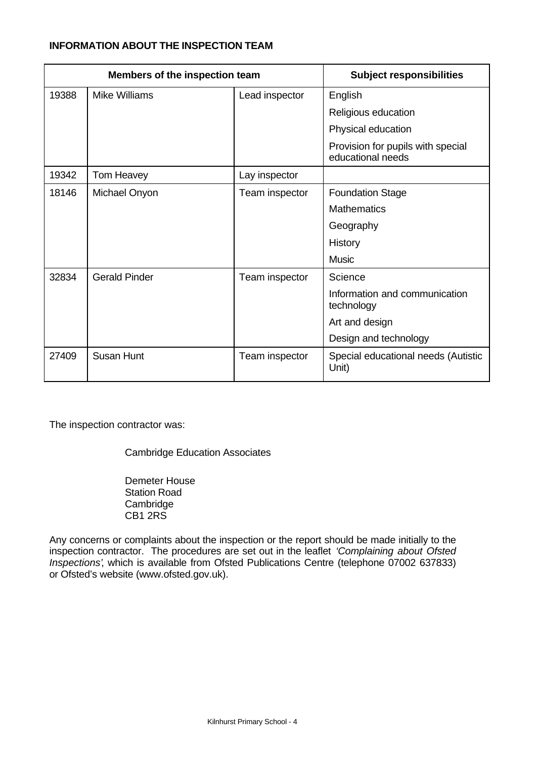# **INFORMATION ABOUT THE INSPECTION TEAM**

| Members of the inspection team |                      |                | <b>Subject responsibilities</b>                        |
|--------------------------------|----------------------|----------------|--------------------------------------------------------|
| 19388                          | <b>Mike Williams</b> | Lead inspector | English                                                |
|                                |                      |                | Religious education                                    |
|                                |                      |                | Physical education                                     |
|                                |                      |                | Provision for pupils with special<br>educational needs |
| 19342                          | Tom Heavey           | Lay inspector  |                                                        |
| 18146                          | Michael Onyon        | Team inspector | <b>Foundation Stage</b>                                |
|                                |                      |                | <b>Mathematics</b>                                     |
|                                |                      |                | Geography                                              |
|                                |                      |                | History                                                |
|                                |                      |                | <b>Music</b>                                           |
| 32834                          | <b>Gerald Pinder</b> | Team inspector | Science                                                |
|                                |                      |                | Information and communication<br>technology            |
|                                |                      |                | Art and design                                         |
|                                |                      |                | Design and technology                                  |
| 27409                          | <b>Susan Hunt</b>    | Team inspector | Special educational needs (Autistic<br>Unit)           |

The inspection contractor was:

Cambridge Education Associates

Demeter House Station Road Cambridge CB1 2RS

Any concerns or complaints about the inspection or the report should be made initially to the inspection contractor. The procedures are set out in the leaflet *'Complaining about Ofsted Inspections'*, which is available from Ofsted Publications Centre (telephone 07002 637833) or Ofsted's website (www.ofsted.gov.uk).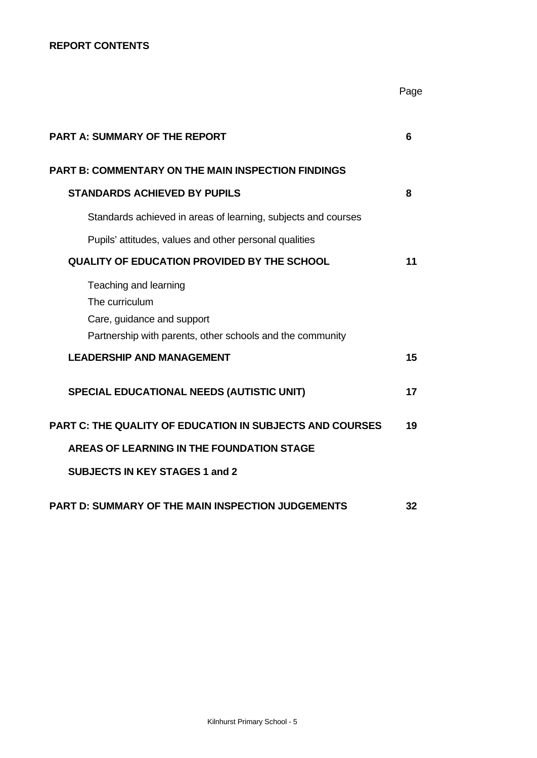# **REPORT CONTENTS**

|                                                                                                                                    | Page |
|------------------------------------------------------------------------------------------------------------------------------------|------|
| <b>PART A: SUMMARY OF THE REPORT</b>                                                                                               | 6    |
| <b>PART B: COMMENTARY ON THE MAIN INSPECTION FINDINGS</b>                                                                          |      |
| <b>STANDARDS ACHIEVED BY PUPILS</b>                                                                                                | 8    |
| Standards achieved in areas of learning, subjects and courses                                                                      |      |
| Pupils' attitudes, values and other personal qualities                                                                             |      |
| <b>QUALITY OF EDUCATION PROVIDED BY THE SCHOOL</b>                                                                                 | 11   |
| Teaching and learning<br>The curriculum<br>Care, guidance and support<br>Partnership with parents, other schools and the community |      |
| <b>LEADERSHIP AND MANAGEMENT</b>                                                                                                   | 15   |
| <b>SPECIAL EDUCATIONAL NEEDS (AUTISTIC UNIT)</b>                                                                                   | 17   |
| <b>PART C: THE QUALITY OF EDUCATION IN SUBJECTS AND COURSES</b>                                                                    | 19   |
| <b>AREAS OF LEARNING IN THE FOUNDATION STAGE</b>                                                                                   |      |
| <b>SUBJECTS IN KEY STAGES 1 and 2</b>                                                                                              |      |
| <b>PART D: SUMMARY OF THE MAIN INSPECTION JUDGEMENTS</b>                                                                           | 32   |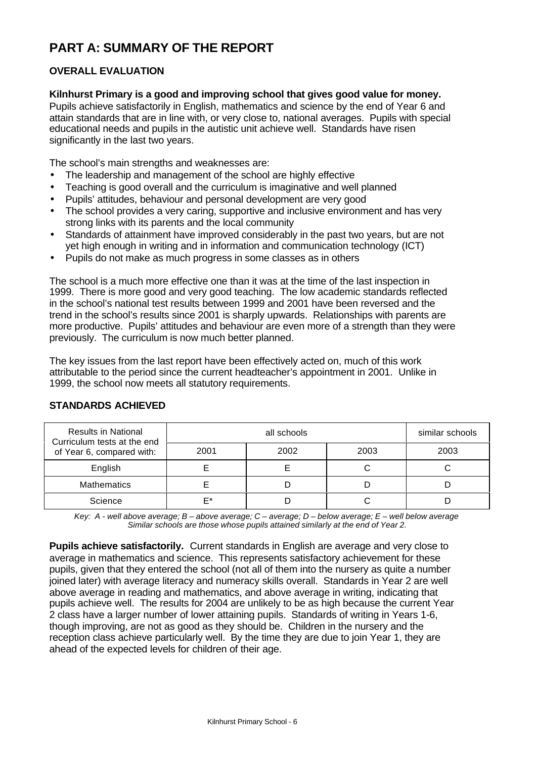# **PART A: SUMMARY OF THE REPORT**

# **OVERALL EVALUATION**

## **Kilnhurst Primary is a good and improving school that gives good value for money.**

Pupils achieve satisfactorily in English, mathematics and science by the end of Year 6 and attain standards that are in line with, or very close to, national averages. Pupils with special educational needs and pupils in the autistic unit achieve well. Standards have risen significantly in the last two years.

The school's main strengths and weaknesses are:

- The leadership and management of the school are highly effective
- Teaching is good overall and the curriculum is imaginative and well planned
- Pupils' attitudes, behaviour and personal development are very good
- The school provides a very caring, supportive and inclusive environment and has very strong links with its parents and the local community
- Standards of attainment have improved considerably in the past two years, but are not yet high enough in writing and in information and communication technology (ICT)
- Pupils do not make as much progress in some classes as in others

The school is a much more effective one than it was at the time of the last inspection in 1999. There is more good and very good teaching. The low academic standards reflected in the school's national test results between 1999 and 2001 have been reversed and the trend in the school's results since 2001 is sharply upwards. Relationships with parents are more productive. Pupils' attitudes and behaviour are even more of a strength than they were previously. The curriculum is now much better planned.

The key issues from the last report have been effectively acted on, much of this work attributable to the period since the current headteacher's appointment in 2001. Unlike in 1999, the school now meets all statutory requirements.

| <b>Results in National</b><br>Curriculum tests at the end<br>of Year 6, compared with: |      | similar schools |      |      |
|----------------------------------------------------------------------------------------|------|-----------------|------|------|
|                                                                                        | 2001 | 2002            | 2003 | 2003 |
| English                                                                                |      |                 |      |      |
| <b>Mathematics</b>                                                                     |      |                 |      |      |
| Science                                                                                | F*   |                 |      |      |

## **STANDARDS ACHIEVED**

*Key: A - well above average; B – above average; C – average; D – below average; E – well below average Similar schools are those whose pupils attained similarly at the end of Year 2.*

**Pupils achieve satisfactorily.** Current standards in English are average and very close to average in mathematics and science. This represents satisfactory achievement for these pupils, given that they entered the school (not all of them into the nursery as quite a number joined later) with average literacy and numeracy skills overall. Standards in Year 2 are well above average in reading and mathematics, and above average in writing, indicating that pupils achieve well. The results for 2004 are unlikely to be as high because the current Year 2 class have a larger number of lower attaining pupils. Standards of writing in Years 1-6, though improving, are not as good as they should be. Children in the nursery and the reception class achieve particularly well. By the time they are due to join Year 1, they are ahead of the expected levels for children of their age.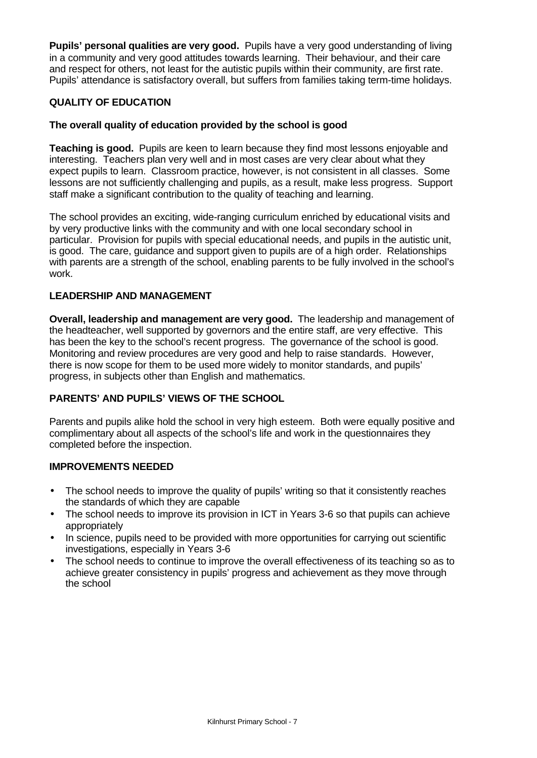**Pupils' personal qualities are very good.** Pupils have a very good understanding of living in a community and very good attitudes towards learning. Their behaviour, and their care and respect for others, not least for the autistic pupils within their community, are first rate. Pupils' attendance is satisfactory overall, but suffers from families taking term-time holidays.

## **QUALITY OF EDUCATION**

## **The overall quality of education provided by the school is good**

**Teaching is good.** Pupils are keen to learn because they find most lessons enjoyable and interesting. Teachers plan very well and in most cases are very clear about what they expect pupils to learn. Classroom practice, however, is not consistent in all classes. Some lessons are not sufficiently challenging and pupils, as a result, make less progress. Support staff make a significant contribution to the quality of teaching and learning.

The school provides an exciting, wide-ranging curriculum enriched by educational visits and by very productive links with the community and with one local secondary school in particular. Provision for pupils with special educational needs, and pupils in the autistic unit, is good. The care, guidance and support given to pupils are of a high order. Relationships with parents are a strength of the school, enabling parents to be fully involved in the school's work.

## **LEADERSHIP AND MANAGEMENT**

**Overall, leadership and management are very good.** The leadership and management of the headteacher, well supported by governors and the entire staff, are very effective. This has been the key to the school's recent progress. The governance of the school is good. Monitoring and review procedures are very good and help to raise standards. However, there is now scope for them to be used more widely to monitor standards, and pupils' progress, in subjects other than English and mathematics.

## **PARENTS' AND PUPILS' VIEWS OF THE SCHOOL**

Parents and pupils alike hold the school in very high esteem. Both were equally positive and complimentary about all aspects of the school's life and work in the questionnaires they completed before the inspection.

## **IMPROVEMENTS NEEDED**

- The school needs to improve the quality of pupils' writing so that it consistently reaches the standards of which they are capable
- The school needs to improve its provision in ICT in Years 3-6 so that pupils can achieve appropriately
- In science, pupils need to be provided with more opportunities for carrying out scientific investigations, especially in Years 3-6
- The school needs to continue to improve the overall effectiveness of its teaching so as to achieve greater consistency in pupils' progress and achievement as they move through the school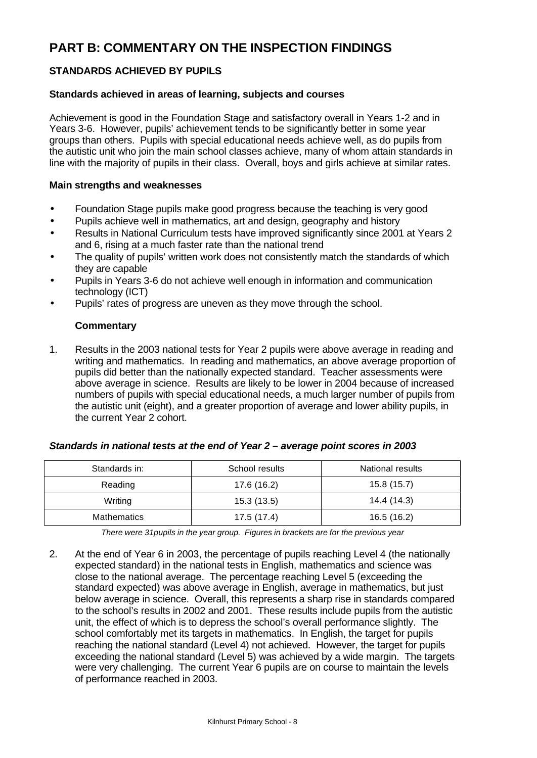# **PART B: COMMENTARY ON THE INSPECTION FINDINGS**

# **STANDARDS ACHIEVED BY PUPILS**

## **Standards achieved in areas of learning, subjects and courses**

Achievement is good in the Foundation Stage and satisfactory overall in Years 1-2 and in Years 3-6. However, pupils' achievement tends to be significantly better in some year groups than others. Pupils with special educational needs achieve well, as do pupils from the autistic unit who join the main school classes achieve, many of whom attain standards in line with the majority of pupils in their class. Overall, boys and girls achieve at similar rates.

#### **Main strengths and weaknesses**

- Foundation Stage pupils make good progress because the teaching is very good
- Pupils achieve well in mathematics, art and design, geography and history
- Results in National Curriculum tests have improved significantly since 2001 at Years 2 and 6, rising at a much faster rate than the national trend
- The quality of pupils' written work does not consistently match the standards of which they are capable
- Pupils in Years 3-6 do not achieve well enough in information and communication technology (ICT)
- Pupils' rates of progress are uneven as they move through the school.

## **Commentary**

1. Results in the 2003 national tests for Year 2 pupils were above average in reading and writing and mathematics. In reading and mathematics, an above average proportion of pupils did better than the nationally expected standard. Teacher assessments were above average in science. Results are likely to be lower in 2004 because of increased numbers of pupils with special educational needs, a much larger number of pupils from the autistic unit (eight), and a greater proportion of average and lower ability pupils, in the current Year 2 cohort.

| Standards in:      | School results | National results |  |
|--------------------|----------------|------------------|--|
| Reading            | 17.6 (16.2)    | 15.8(15.7)       |  |
| Writing            | 15.3(13.5)     | 14.4 (14.3)      |  |
| <b>Mathematics</b> | 17.5(17.4)     | 16.5(16.2)       |  |

#### *Standards in national tests at the end of Year 2 – average point scores in 2003*

*There were 31pupils in the year group. Figures in brackets are for the previous year*

2. At the end of Year 6 in 2003, the percentage of pupils reaching Level 4 (the nationally expected standard) in the national tests in English, mathematics and science was close to the national average. The percentage reaching Level 5 (exceeding the standard expected) was above average in English, average in mathematics, but just below average in science. Overall, this represents a sharp rise in standards compared to the school's results in 2002 and 2001. These results include pupils from the autistic unit, the effect of which is to depress the school's overall performance slightly. The school comfortably met its targets in mathematics. In English, the target for pupils reaching the national standard (Level 4) not achieved. However, the target for pupils exceeding the national standard (Level 5) was achieved by a wide margin. The targets were very challenging. The current Year 6 pupils are on course to maintain the levels of performance reached in 2003.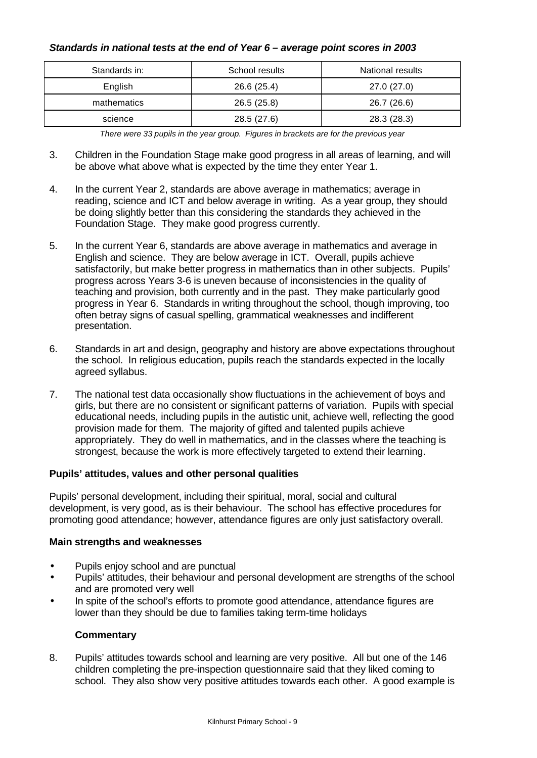## *Standards in national tests at the end of Year 6 – average point scores in 2003*

| Standards in: | School results | <b>National results</b> |  |
|---------------|----------------|-------------------------|--|
| English       | 26.6 (25.4)    | 27.0(27.0)              |  |
| mathematics   | 26.5 (25.8)    | 26.7 (26.6)             |  |
| science       | 28.5 (27.6)    | 28.3 (28.3)             |  |

*There were 33 pupils in the year group. Figures in brackets are for the previous year*

- 3. Children in the Foundation Stage make good progress in all areas of learning, and will be above what above what is expected by the time they enter Year 1.
- 4. In the current Year 2, standards are above average in mathematics; average in reading, science and ICT and below average in writing. As a year group, they should be doing slightly better than this considering the standards they achieved in the Foundation Stage. They make good progress currently.
- 5. In the current Year 6, standards are above average in mathematics and average in English and science. They are below average in ICT. Overall, pupils achieve satisfactorily, but make better progress in mathematics than in other subjects. Pupils' progress across Years 3-6 is uneven because of inconsistencies in the quality of teaching and provision, both currently and in the past. They make particularly good progress in Year 6. Standards in writing throughout the school, though improving, too often betray signs of casual spelling, grammatical weaknesses and indifferent presentation.
- 6. Standards in art and design, geography and history are above expectations throughout the school. In religious education, pupils reach the standards expected in the locally agreed syllabus.
- 7. The national test data occasionally show fluctuations in the achievement of boys and girls, but there are no consistent or significant patterns of variation. Pupils with special educational needs, including pupils in the autistic unit, achieve well, reflecting the good provision made for them. The majority of gifted and talented pupils achieve appropriately. They do well in mathematics, and in the classes where the teaching is strongest, because the work is more effectively targeted to extend their learning.

## **Pupils' attitudes, values and other personal qualities**

Pupils' personal development, including their spiritual, moral, social and cultural development, is very good, as is their behaviour. The school has effective procedures for promoting good attendance; however, attendance figures are only just satisfactory overall.

#### **Main strengths and weaknesses**

- Pupils enjoy school and are punctual
- Pupils' attitudes, their behaviour and personal development are strengths of the school and are promoted very well
- In spite of the school's efforts to promote good attendance, attendance figures are lower than they should be due to families taking term-time holidays

#### **Commentary**

8. Pupils' attitudes towards school and learning are very positive. All but one of the 146 children completing the pre-inspection questionnaire said that they liked coming to school. They also show very positive attitudes towards each other. A good example is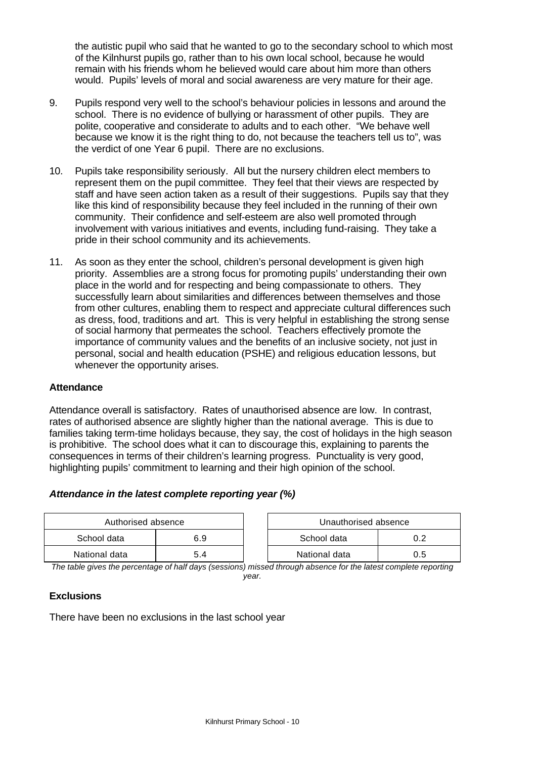the autistic pupil who said that he wanted to go to the secondary school to which most of the Kilnhurst pupils go, rather than to his own local school, because he would remain with his friends whom he believed would care about him more than others would. Pupils' levels of moral and social awareness are very mature for their age.

- 9. Pupils respond very well to the school's behaviour policies in lessons and around the school. There is no evidence of bullying or harassment of other pupils. They are polite, cooperative and considerate to adults and to each other. "We behave well because we know it is the right thing to do, not because the teachers tell us to", was the verdict of one Year 6 pupil. There are no exclusions.
- 10. Pupils take responsibility seriously. All but the nursery children elect members to represent them on the pupil committee. They feel that their views are respected by staff and have seen action taken as a result of their suggestions. Pupils say that they like this kind of responsibility because they feel included in the running of their own community. Their confidence and self-esteem are also well promoted through involvement with various initiatives and events, including fund-raising. They take a pride in their school community and its achievements.
- 11. As soon as they enter the school, children's personal development is given high priority. Assemblies are a strong focus for promoting pupils' understanding their own place in the world and for respecting and being compassionate to others. They successfully learn about similarities and differences between themselves and those from other cultures, enabling them to respect and appreciate cultural differences such as dress, food, traditions and art. This is very helpful in establishing the strong sense of social harmony that permeates the school. Teachers effectively promote the importance of community values and the benefits of an inclusive society, not just in personal, social and health education (PSHE) and religious education lessons, but whenever the opportunity arises.

## **Attendance**

Attendance overall is satisfactory. Rates of unauthorised absence are low. In contrast, rates of authorised absence are slightly higher than the national average. This is due to families taking term-time holidays because, they say, the cost of holidays in the high season is prohibitive. The school does what it can to discourage this, explaining to parents the consequences in terms of their children's learning progress. Punctuality is very good, highlighting pupils' commitment to learning and their high opinion of the school.

## *Attendance in the latest complete reporting year (%)*

| Authorised absence |     | Unauthorised absence |     |
|--------------------|-----|----------------------|-----|
| School data        | 6.9 | School data          |     |
| National data      |     | National data        | U.5 |

*The table gives the percentage of half days (sessions) missed through absence for the latest complete reporting year.*

## **Exclusions**

There have been no exclusions in the last school year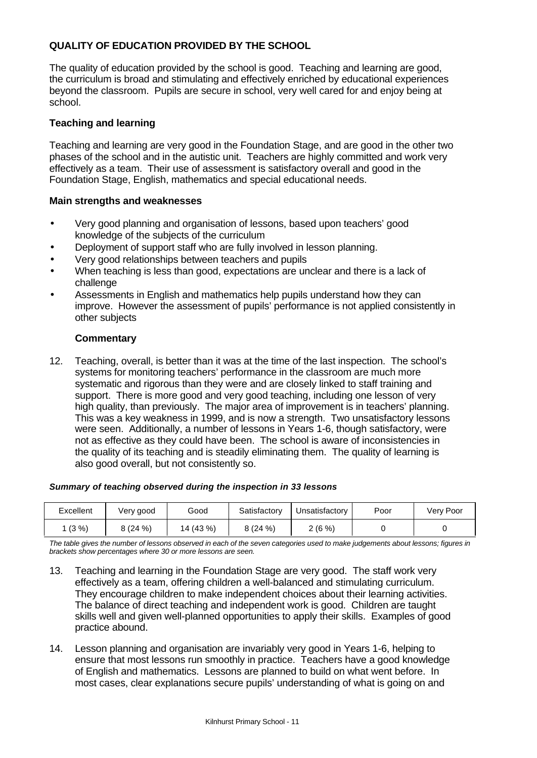# **QUALITY OF EDUCATION PROVIDED BY THE SCHOOL**

The quality of education provided by the school is good. Teaching and learning are good, the curriculum is broad and stimulating and effectively enriched by educational experiences beyond the classroom. Pupils are secure in school, very well cared for and enjoy being at school.

## **Teaching and learning**

Teaching and learning are very good in the Foundation Stage, and are good in the other two phases of the school and in the autistic unit. Teachers are highly committed and work very effectively as a team. Their use of assessment is satisfactory overall and good in the Foundation Stage, English, mathematics and special educational needs.

## **Main strengths and weaknesses**

- Very good planning and organisation of lessons, based upon teachers' good knowledge of the subjects of the curriculum
- Deployment of support staff who are fully involved in lesson planning.
- Very good relationships between teachers and pupils
- When teaching is less than good, expectations are unclear and there is a lack of challenge
- Assessments in English and mathematics help pupils understand how they can improve. However the assessment of pupils' performance is not applied consistently in other subjects

## **Commentary**

12. Teaching, overall, is better than it was at the time of the last inspection. The school's systems for monitoring teachers' performance in the classroom are much more systematic and rigorous than they were and are closely linked to staff training and support. There is more good and very good teaching, including one lesson of very high quality, than previously. The major area of improvement is in teachers' planning. This was a key weakness in 1999, and is now a strength. Two unsatisfactory lessons were seen. Additionally, a number of lessons in Years 1-6, though satisfactory, were not as effective as they could have been. The school is aware of inconsistencies in the quality of its teaching and is steadily eliminating them. The quality of learning is also good overall, but not consistently so.

#### *Summary of teaching observed during the inspection in 33 lessons*

| Excellent | Very good | Good      | Satisfactory | Unsatisfactorv | Poor | Very Poor |
|-----------|-----------|-----------|--------------|----------------|------|-----------|
| (3%)      | 3(24%)    | 14 (43 %) | 8(24%)       | $2(6\%)$       |      |           |

*The table gives the number of lessons observed in each of the seven categories used to make judgements about lessons; figures in brackets show percentages where 30 or more lessons are seen.*

- 13. Teaching and learning in the Foundation Stage are very good. The staff work very effectively as a team, offering children a well-balanced and stimulating curriculum. They encourage children to make independent choices about their learning activities. The balance of direct teaching and independent work is good. Children are taught skills well and given well-planned opportunities to apply their skills. Examples of good practice abound.
- 14. Lesson planning and organisation are invariably very good in Years 1-6, helping to ensure that most lessons run smoothly in practice. Teachers have a good knowledge of English and mathematics. Lessons are planned to build on what went before. In most cases, clear explanations secure pupils' understanding of what is going on and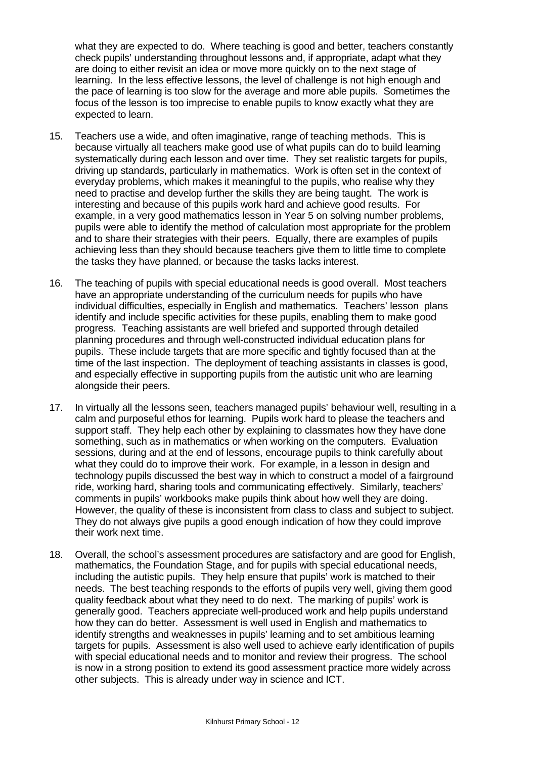what they are expected to do. Where teaching is good and better, teachers constantly check pupils' understanding throughout lessons and, if appropriate, adapt what they are doing to either revisit an idea or move more quickly on to the next stage of learning. In the less effective lessons, the level of challenge is not high enough and the pace of learning is too slow for the average and more able pupils. Sometimes the focus of the lesson is too imprecise to enable pupils to know exactly what they are expected to learn.

- 15. Teachers use a wide, and often imaginative, range of teaching methods. This is because virtually all teachers make good use of what pupils can do to build learning systematically during each lesson and over time. They set realistic targets for pupils, driving up standards, particularly in mathematics. Work is often set in the context of everyday problems, which makes it meaningful to the pupils, who realise why they need to practise and develop further the skills they are being taught. The work is interesting and because of this pupils work hard and achieve good results. For example, in a very good mathematics lesson in Year 5 on solving number problems, pupils were able to identify the method of calculation most appropriate for the problem and to share their strategies with their peers. Equally, there are examples of pupils achieving less than they should because teachers give them to little time to complete the tasks they have planned, or because the tasks lacks interest.
- 16. The teaching of pupils with special educational needs is good overall. Most teachers have an appropriate understanding of the curriculum needs for pupils who have individual difficulties, especially in English and mathematics. Teachers' lesson plans identify and include specific activities for these pupils, enabling them to make good progress. Teaching assistants are well briefed and supported through detailed planning procedures and through well-constructed individual education plans for pupils. These include targets that are more specific and tightly focused than at the time of the last inspection. The deployment of teaching assistants in classes is good, and especially effective in supporting pupils from the autistic unit who are learning alongside their peers.
- 17. In virtually all the lessons seen, teachers managed pupils' behaviour well, resulting in a calm and purposeful ethos for learning. Pupils work hard to please the teachers and support staff. They help each other by explaining to classmates how they have done something, such as in mathematics or when working on the computers. Evaluation sessions, during and at the end of lessons, encourage pupils to think carefully about what they could do to improve their work. For example, in a lesson in design and technology pupils discussed the best way in which to construct a model of a fairground ride, working hard, sharing tools and communicating effectively. Similarly, teachers' comments in pupils' workbooks make pupils think about how well they are doing. However, the quality of these is inconsistent from class to class and subject to subject. They do not always give pupils a good enough indication of how they could improve their work next time.
- 18. Overall, the school's assessment procedures are satisfactory and are good for English, mathematics, the Foundation Stage, and for pupils with special educational needs, including the autistic pupils. They help ensure that pupils' work is matched to their needs. The best teaching responds to the efforts of pupils very well, giving them good quality feedback about what they need to do next. The marking of pupils' work is generally good. Teachers appreciate well-produced work and help pupils understand how they can do better. Assessment is well used in English and mathematics to identify strengths and weaknesses in pupils' learning and to set ambitious learning targets for pupils. Assessment is also well used to achieve early identification of pupils with special educational needs and to monitor and review their progress. The school is now in a strong position to extend its good assessment practice more widely across other subjects. This is already under way in science and ICT.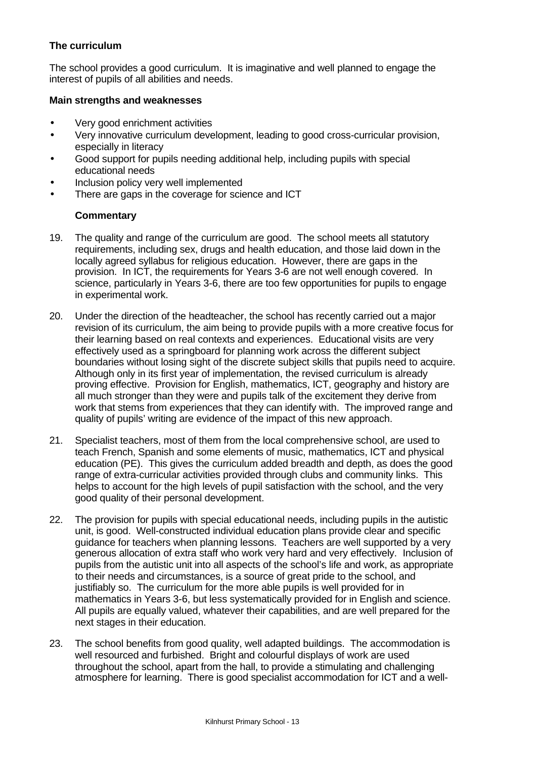# **The curriculum**

The school provides a good curriculum. It is imaginative and well planned to engage the interest of pupils of all abilities and needs.

#### **Main strengths and weaknesses**

- Very good enrichment activities
- Very innovative curriculum development, leading to good cross-curricular provision, especially in literacy
- Good support for pupils needing additional help, including pupils with special educational needs
- Inclusion policy very well implemented
- There are gaps in the coverage for science and ICT

## **Commentary**

- 19. The quality and range of the curriculum are good. The school meets all statutory requirements, including sex, drugs and health education, and those laid down in the locally agreed syllabus for religious education. However, there are gaps in the provision. In ICT, the requirements for Years 3-6 are not well enough covered. In science, particularly in Years 3-6, there are too few opportunities for pupils to engage in experimental work.
- 20. Under the direction of the headteacher, the school has recently carried out a major revision of its curriculum, the aim being to provide pupils with a more creative focus for their learning based on real contexts and experiences. Educational visits are very effectively used as a springboard for planning work across the different subject boundaries without losing sight of the discrete subject skills that pupils need to acquire. Although only in its first year of implementation, the revised curriculum is already proving effective. Provision for English, mathematics, ICT, geography and history are all much stronger than they were and pupils talk of the excitement they derive from work that stems from experiences that they can identify with. The improved range and quality of pupils' writing are evidence of the impact of this new approach.
- 21. Specialist teachers, most of them from the local comprehensive school, are used to teach French, Spanish and some elements of music, mathematics, ICT and physical education (PE). This gives the curriculum added breadth and depth, as does the good range of extra-curricular activities provided through clubs and community links. This helps to account for the high levels of pupil satisfaction with the school, and the very good quality of their personal development.
- 22. The provision for pupils with special educational needs, including pupils in the autistic unit, is good. Well-constructed individual education plans provide clear and specific guidance for teachers when planning lessons. Teachers are well supported by a very generous allocation of extra staff who work very hard and very effectively. Inclusion of pupils from the autistic unit into all aspects of the school's life and work, as appropriate to their needs and circumstances, is a source of great pride to the school, and justifiably so. The curriculum for the more able pupils is well provided for in mathematics in Years 3-6, but less systematically provided for in English and science. All pupils are equally valued, whatever their capabilities, and are well prepared for the next stages in their education.
- 23. The school benefits from good quality, well adapted buildings. The accommodation is well resourced and furbished. Bright and colourful displays of work are used throughout the school, apart from the hall, to provide a stimulating and challenging atmosphere for learning. There is good specialist accommodation for ICT and a well-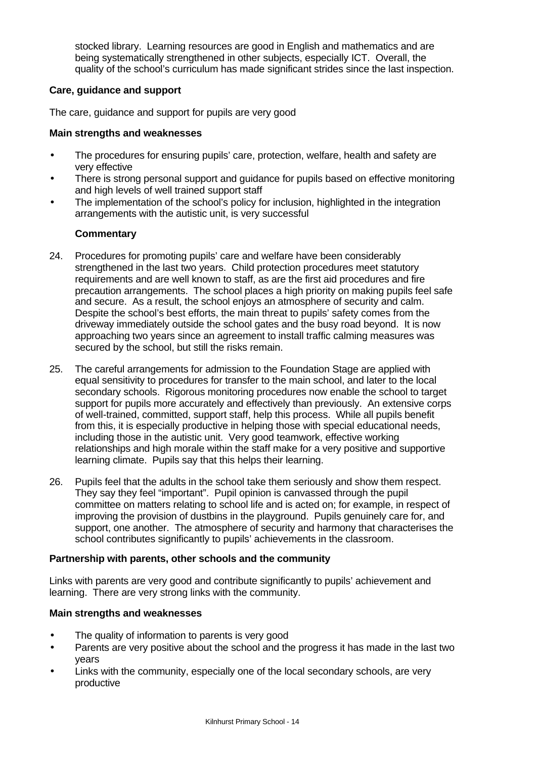stocked library. Learning resources are good in English and mathematics and are being systematically strengthened in other subjects, especially ICT. Overall, the quality of the school's curriculum has made significant strides since the last inspection.

## **Care, guidance and support**

The care, guidance and support for pupils are very good

## **Main strengths and weaknesses**

- The procedures for ensuring pupils' care, protection, welfare, health and safety are very effective
- There is strong personal support and guidance for pupils based on effective monitoring and high levels of well trained support staff
- The implementation of the school's policy for inclusion, highlighted in the integration arrangements with the autistic unit, is very successful

# **Commentary**

- 24. Procedures for promoting pupils' care and welfare have been considerably strengthened in the last two years. Child protection procedures meet statutory requirements and are well known to staff, as are the first aid procedures and fire precaution arrangements. The school places a high priority on making pupils feel safe and secure. As a result, the school enjoys an atmosphere of security and calm. Despite the school's best efforts, the main threat to pupils' safety comes from the driveway immediately outside the school gates and the busy road beyond. It is now approaching two years since an agreement to install traffic calming measures was secured by the school, but still the risks remain.
- 25. The careful arrangements for admission to the Foundation Stage are applied with equal sensitivity to procedures for transfer to the main school, and later to the local secondary schools. Rigorous monitoring procedures now enable the school to target support for pupils more accurately and effectively than previously. An extensive corps of well-trained, committed, support staff, help this process. While all pupils benefit from this, it is especially productive in helping those with special educational needs, including those in the autistic unit. Very good teamwork, effective working relationships and high morale within the staff make for a very positive and supportive learning climate. Pupils say that this helps their learning.
- 26. Pupils feel that the adults in the school take them seriously and show them respect. They say they feel "important". Pupil opinion is canvassed through the pupil committee on matters relating to school life and is acted on; for example, in respect of improving the provision of dustbins in the playground. Pupils genuinely care for, and support, one another. The atmosphere of security and harmony that characterises the school contributes significantly to pupils' achievements in the classroom.

## **Partnership with parents, other schools and the community**

Links with parents are very good and contribute significantly to pupils' achievement and learning. There are very strong links with the community.

## **Main strengths and weaknesses**

- The quality of information to parents is very good
- Parents are very positive about the school and the progress it has made in the last two years
- Links with the community, especially one of the local secondary schools, are very productive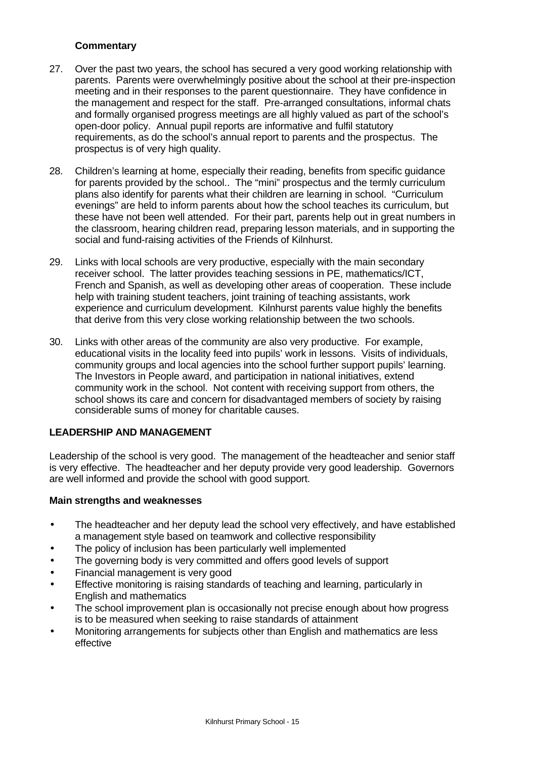# **Commentary**

- 27. Over the past two years, the school has secured a very good working relationship with parents. Parents were overwhelmingly positive about the school at their pre-inspection meeting and in their responses to the parent questionnaire. They have confidence in the management and respect for the staff. Pre-arranged consultations, informal chats and formally organised progress meetings are all highly valued as part of the school's open-door policy. Annual pupil reports are informative and fulfil statutory requirements, as do the school's annual report to parents and the prospectus. The prospectus is of very high quality.
- 28. Children's learning at home, especially their reading, benefits from specific guidance for parents provided by the school.. The "mini" prospectus and the termly curriculum plans also identify for parents what their children are learning in school. "Curriculum evenings" are held to inform parents about how the school teaches its curriculum, but these have not been well attended. For their part, parents help out in great numbers in the classroom, hearing children read, preparing lesson materials, and in supporting the social and fund-raising activities of the Friends of Kilnhurst.
- 29. Links with local schools are very productive, especially with the main secondary receiver school. The latter provides teaching sessions in PE, mathematics/ICT, French and Spanish, as well as developing other areas of cooperation. These include help with training student teachers, joint training of teaching assistants, work experience and curriculum development. Kilnhurst parents value highly the benefits that derive from this very close working relationship between the two schools.
- 30. Links with other areas of the community are also very productive. For example, educational visits in the locality feed into pupils' work in lessons. Visits of individuals, community groups and local agencies into the school further support pupils' learning. The Investors in People award, and participation in national initiatives, extend community work in the school. Not content with receiving support from others, the school shows its care and concern for disadvantaged members of society by raising considerable sums of money for charitable causes.

## **LEADERSHIP AND MANAGEMENT**

Leadership of the school is very good. The management of the headteacher and senior staff is very effective. The headteacher and her deputy provide very good leadership. Governors are well informed and provide the school with good support.

#### **Main strengths and weaknesses**

- The headteacher and her deputy lead the school very effectively, and have established a management style based on teamwork and collective responsibility
- The policy of inclusion has been particularly well implemented
- The governing body is very committed and offers good levels of support
- Financial management is very good
- Effective monitoring is raising standards of teaching and learning, particularly in English and mathematics
- The school improvement plan is occasionally not precise enough about how progress is to be measured when seeking to raise standards of attainment
- Monitoring arrangements for subjects other than English and mathematics are less effective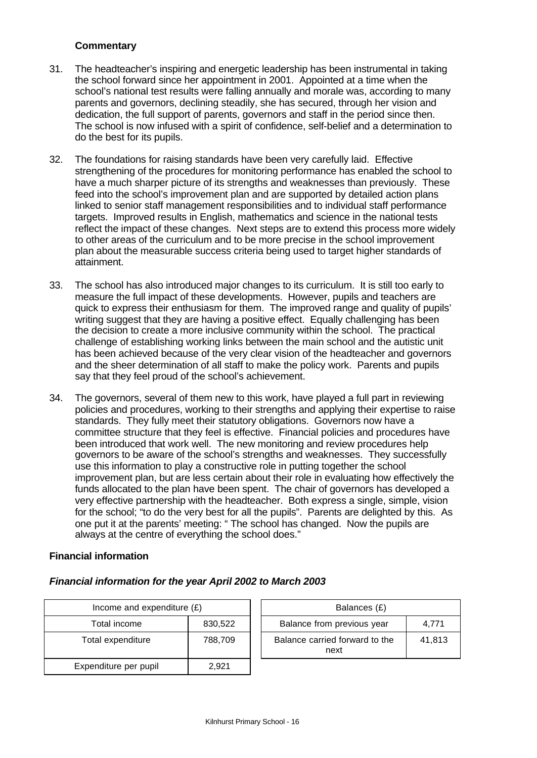# **Commentary**

- 31. The headteacher's inspiring and energetic leadership has been instrumental in taking the school forward since her appointment in 2001. Appointed at a time when the school's national test results were falling annually and morale was, according to many parents and governors, declining steadily, she has secured, through her vision and dedication, the full support of parents, governors and staff in the period since then. The school is now infused with a spirit of confidence, self-belief and a determination to do the best for its pupils.
- 32. The foundations for raising standards have been very carefully laid. Effective strengthening of the procedures for monitoring performance has enabled the school to have a much sharper picture of its strengths and weaknesses than previously. These feed into the school's improvement plan and are supported by detailed action plans linked to senior staff management responsibilities and to individual staff performance targets. Improved results in English, mathematics and science in the national tests reflect the impact of these changes. Next steps are to extend this process more widely to other areas of the curriculum and to be more precise in the school improvement plan about the measurable success criteria being used to target higher standards of attainment.
- 33. The school has also introduced major changes to its curriculum. It is still too early to measure the full impact of these developments. However, pupils and teachers are quick to express their enthusiasm for them. The improved range and quality of pupils' writing suggest that they are having a positive effect. Equally challenging has been the decision to create a more inclusive community within the school. The practical challenge of establishing working links between the main school and the autistic unit has been achieved because of the very clear vision of the headteacher and governors and the sheer determination of all staff to make the policy work. Parents and pupils say that they feel proud of the school's achievement.
- 34. The governors, several of them new to this work, have played a full part in reviewing policies and procedures, working to their strengths and applying their expertise to raise standards. They fully meet their statutory obligations. Governors now have a committee structure that they feel is effective. Financial policies and procedures have been introduced that work well. The new monitoring and review procedures help governors to be aware of the school's strengths and weaknesses. They successfully use this information to play a constructive role in putting together the school improvement plan, but are less certain about their role in evaluating how effectively the funds allocated to the plan have been spent. The chair of governors has developed a very effective partnership with the headteacher. Both express a single, simple, vision for the school; "to do the very best for all the pupils". Parents are delighted by this. As one put it at the parents' meeting: " The school has changed. Now the pupils are always at the centre of everything the school does."

## **Financial information**

| Income and expenditure $(E)$ |         | Balances (£)                           |        |
|------------------------------|---------|----------------------------------------|--------|
| Total income                 | 830,522 | Balance from previous year             | 4.771  |
| Total expenditure            | 788,709 | Balance carried forward to the<br>next | 41,813 |
| Expenditure per pupil        | 2,921   |                                        |        |

## *Financial information for the year April 2002 to March 2003*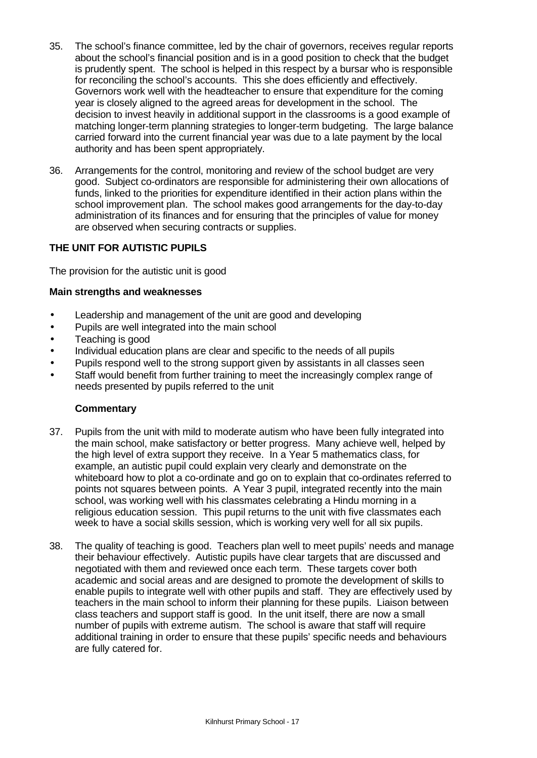- 35. The school's finance committee, led by the chair of governors, receives regular reports about the school's financial position and is in a good position to check that the budget is prudently spent. The school is helped in this respect by a bursar who is responsible for reconciling the school's accounts. This she does efficiently and effectively. Governors work well with the headteacher to ensure that expenditure for the coming year is closely aligned to the agreed areas for development in the school. The decision to invest heavily in additional support in the classrooms is a good example of matching longer-term planning strategies to longer-term budgeting. The large balance carried forward into the current financial year was due to a late payment by the local authority and has been spent appropriately.
- 36. Arrangements for the control, monitoring and review of the school budget are very good. Subject co-ordinators are responsible for administering their own allocations of funds, linked to the priorities for expenditure identified in their action plans within the school improvement plan. The school makes good arrangements for the day-to-day administration of its finances and for ensuring that the principles of value for money are observed when securing contracts or supplies.

## **THE UNIT FOR AUTISTIC PUPILS**

The provision for the autistic unit is good

#### **Main strengths and weaknesses**

- Leadership and management of the unit are good and developing
- Pupils are well integrated into the main school
- Teaching is good
- Individual education plans are clear and specific to the needs of all pupils
- Pupils respond well to the strong support given by assistants in all classes seen
- Staff would benefit from further training to meet the increasingly complex range of needs presented by pupils referred to the unit

## **Commentary**

- 37. Pupils from the unit with mild to moderate autism who have been fully integrated into the main school, make satisfactory or better progress. Many achieve well, helped by the high level of extra support they receive. In a Year 5 mathematics class, for example, an autistic pupil could explain very clearly and demonstrate on the whiteboard how to plot a co-ordinate and go on to explain that co-ordinates referred to points not squares between points. A Year 3 pupil, integrated recently into the main school, was working well with his classmates celebrating a Hindu morning in a religious education session. This pupil returns to the unit with five classmates each week to have a social skills session, which is working very well for all six pupils.
- 38. The quality of teaching is good. Teachers plan well to meet pupils' needs and manage their behaviour effectively. Autistic pupils have clear targets that are discussed and negotiated with them and reviewed once each term. These targets cover both academic and social areas and are designed to promote the development of skills to enable pupils to integrate well with other pupils and staff. They are effectively used by teachers in the main school to inform their planning for these pupils. Liaison between class teachers and support staff is good. In the unit itself, there are now a small number of pupils with extreme autism. The school is aware that staff will require additional training in order to ensure that these pupils' specific needs and behaviours are fully catered for.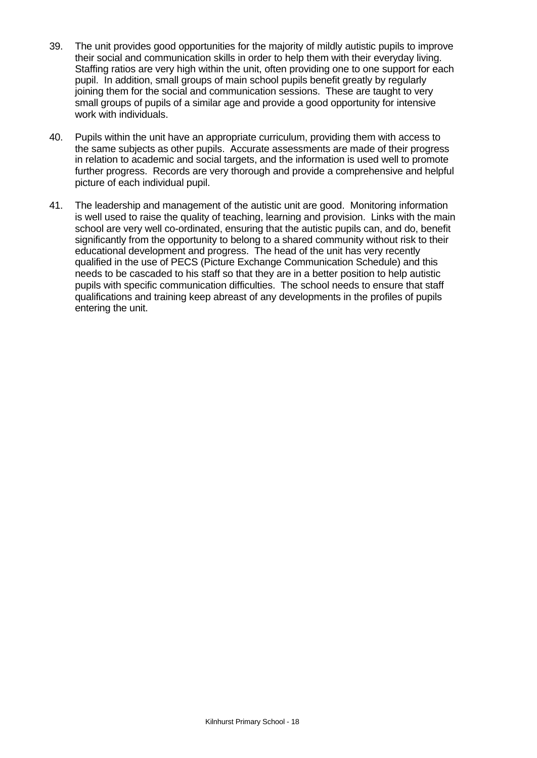- 39. The unit provides good opportunities for the majority of mildly autistic pupils to improve their social and communication skills in order to help them with their everyday living. Staffing ratios are very high within the unit, often providing one to one support for each pupil. In addition, small groups of main school pupils benefit greatly by regularly joining them for the social and communication sessions. These are taught to very small groups of pupils of a similar age and provide a good opportunity for intensive work with individuals.
- 40. Pupils within the unit have an appropriate curriculum, providing them with access to the same subjects as other pupils. Accurate assessments are made of their progress in relation to academic and social targets, and the information is used well to promote further progress. Records are very thorough and provide a comprehensive and helpful picture of each individual pupil.
- 41. The leadership and management of the autistic unit are good. Monitoring information is well used to raise the quality of teaching, learning and provision. Links with the main school are very well co-ordinated, ensuring that the autistic pupils can, and do, benefit significantly from the opportunity to belong to a shared community without risk to their educational development and progress. The head of the unit has very recently qualified in the use of PECS (Picture Exchange Communication Schedule) and this needs to be cascaded to his staff so that they are in a better position to help autistic pupils with specific communication difficulties. The school needs to ensure that staff qualifications and training keep abreast of any developments in the profiles of pupils entering the unit.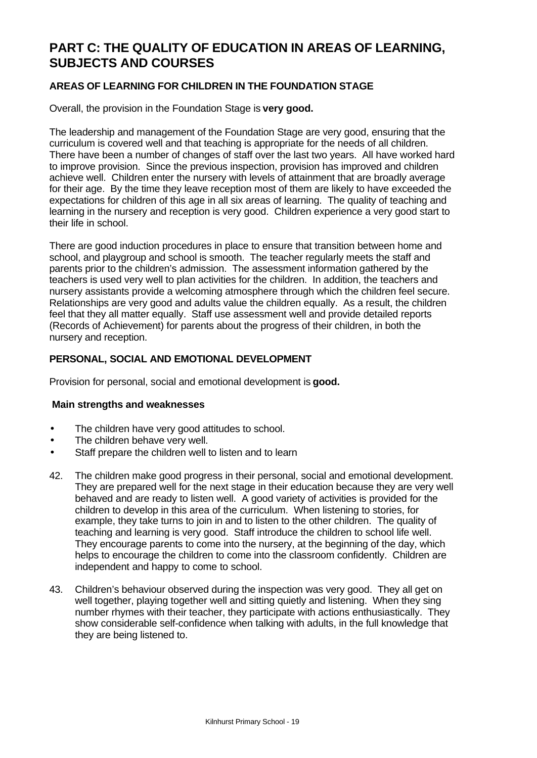# **PART C: THE QUALITY OF EDUCATION IN AREAS OF LEARNING, SUBJECTS AND COURSES**

# **AREAS OF LEARNING FOR CHILDREN IN THE FOUNDATION STAGE**

Overall, the provision in the Foundation Stage is **very good.**

The leadership and management of the Foundation Stage are very good, ensuring that the curriculum is covered well and that teaching is appropriate for the needs of all children. There have been a number of changes of staff over the last two years. All have worked hard to improve provision. Since the previous inspection, provision has improved and children achieve well. Children enter the nursery with levels of attainment that are broadly average for their age. By the time they leave reception most of them are likely to have exceeded the expectations for children of this age in all six areas of learning. The quality of teaching and learning in the nursery and reception is very good. Children experience a very good start to their life in school.

There are good induction procedures in place to ensure that transition between home and school, and playgroup and school is smooth. The teacher regularly meets the staff and parents prior to the children's admission. The assessment information gathered by the teachers is used very well to plan activities for the children. In addition, the teachers and nursery assistants provide a welcoming atmosphere through which the children feel secure. Relationships are very good and adults value the children equally. As a result, the children feel that they all matter equally. Staff use assessment well and provide detailed reports (Records of Achievement) for parents about the progress of their children, in both the nursery and reception.

## **PERSONAL, SOCIAL AND EMOTIONAL DEVELOPMENT**

Provision for personal, social and emotional development is **good.**

## **Main strengths and weaknesses**

- The children have very good attitudes to school.
- The children behave very well.
- Staff prepare the children well to listen and to learn
- 42. The children make good progress in their personal, social and emotional development. They are prepared well for the next stage in their education because they are very well behaved and are ready to listen well. A good variety of activities is provided for the children to develop in this area of the curriculum. When listening to stories, for example, they take turns to join in and to listen to the other children. The quality of teaching and learning is very good. Staff introduce the children to school life well. They encourage parents to come into the nursery, at the beginning of the day, which helps to encourage the children to come into the classroom confidently. Children are independent and happy to come to school.
- 43. Children's behaviour observed during the inspection was very good. They all get on well together, playing together well and sitting quietly and listening. When they sing number rhymes with their teacher, they participate with actions enthusiastically. They show considerable self-confidence when talking with adults, in the full knowledge that they are being listened to.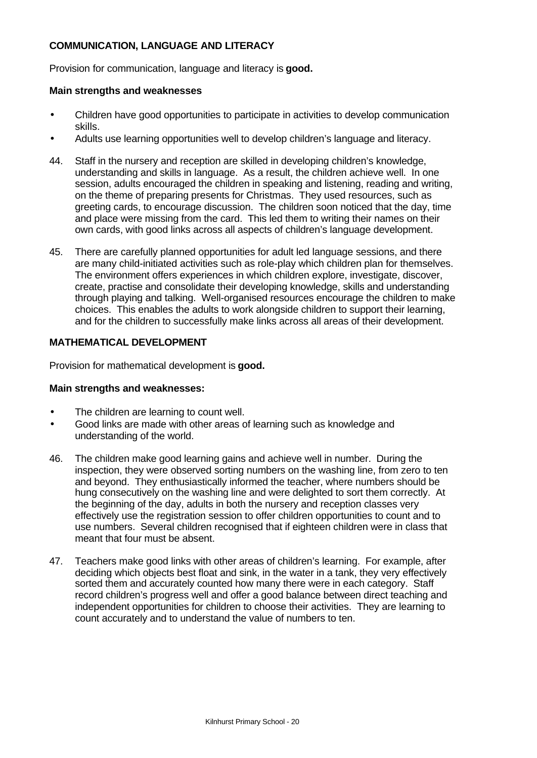# **COMMUNICATION, LANGUAGE AND LITERACY**

Provision for communication, language and literacy is **good.**

#### **Main strengths and weaknesses**

- Children have good opportunities to participate in activities to develop communication skills.
- Adults use learning opportunities well to develop children's language and literacy.
- 44. Staff in the nursery and reception are skilled in developing children's knowledge, understanding and skills in language. As a result, the children achieve well. In one session, adults encouraged the children in speaking and listening, reading and writing, on the theme of preparing presents for Christmas. They used resources, such as greeting cards, to encourage discussion. The children soon noticed that the day, time and place were missing from the card. This led them to writing their names on their own cards, with good links across all aspects of children's language development.
- 45. There are carefully planned opportunities for adult led language sessions, and there are many child-initiated activities such as role-play which children plan for themselves. The environment offers experiences in which children explore, investigate, discover, create, practise and consolidate their developing knowledge, skills and understanding through playing and talking. Well-organised resources encourage the children to make choices. This enables the adults to work alongside children to support their learning, and for the children to successfully make links across all areas of their development.

## **MATHEMATICAL DEVELOPMENT**

Provision for mathematical development is **good.**

#### **Main strengths and weaknesses:**

- The children are learning to count well.
- Good links are made with other areas of learning such as knowledge and understanding of the world.
- 46. The children make good learning gains and achieve well in number. During the inspection, they were observed sorting numbers on the washing line, from zero to ten and beyond. They enthusiastically informed the teacher, where numbers should be hung consecutively on the washing line and were delighted to sort them correctly. At the beginning of the day, adults in both the nursery and reception classes very effectively use the registration session to offer children opportunities to count and to use numbers. Several children recognised that if eighteen children were in class that meant that four must be absent.
- 47. Teachers make good links with other areas of children's learning. For example, after deciding which objects best float and sink, in the water in a tank, they very effectively sorted them and accurately counted how many there were in each category. Staff record children's progress well and offer a good balance between direct teaching and independent opportunities for children to choose their activities. They are learning to count accurately and to understand the value of numbers to ten.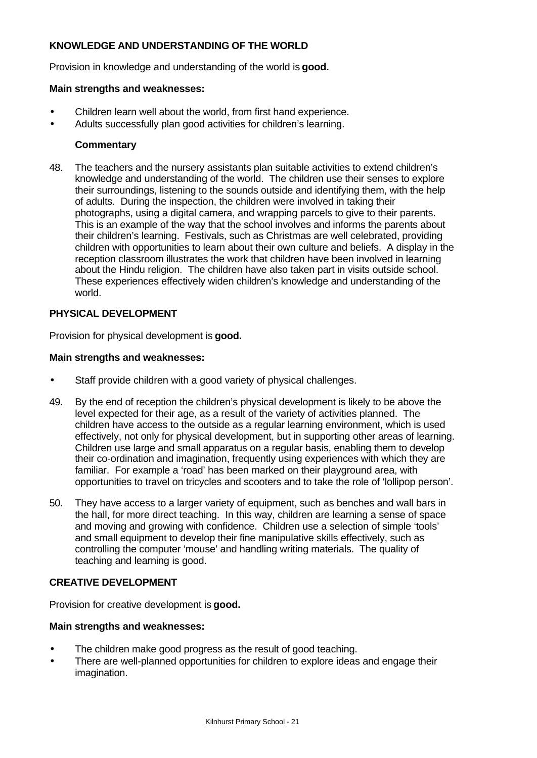# **KNOWLEDGE AND UNDERSTANDING OF THE WORLD**

Provision in knowledge and understanding of the world is **good.**

#### **Main strengths and weaknesses:**

- Children learn well about the world, from first hand experience.
- Adults successfully plan good activities for children's learning.

## **Commentary**

48. The teachers and the nursery assistants plan suitable activities to extend children's knowledge and understanding of the world. The children use their senses to explore their surroundings, listening to the sounds outside and identifying them, with the help of adults. During the inspection, the children were involved in taking their photographs, using a digital camera, and wrapping parcels to give to their parents. This is an example of the way that the school involves and informs the parents about their children's learning. Festivals, such as Christmas are well celebrated, providing children with opportunities to learn about their own culture and beliefs. A display in the reception classroom illustrates the work that children have been involved in learning about the Hindu religion. The children have also taken part in visits outside school. These experiences effectively widen children's knowledge and understanding of the world.

## **PHYSICAL DEVELOPMENT**

Provision for physical development is **good.**

#### **Main strengths and weaknesses:**

- Staff provide children with a good variety of physical challenges.
- 49. By the end of reception the children's physical development is likely to be above the level expected for their age, as a result of the variety of activities planned. The children have access to the outside as a regular learning environment, which is used effectively, not only for physical development, but in supporting other areas of learning. Children use large and small apparatus on a regular basis, enabling them to develop their co-ordination and imagination, frequently using experiences with which they are familiar. For example a 'road' has been marked on their playground area, with opportunities to travel on tricycles and scooters and to take the role of 'lollipop person'.
- 50. They have access to a larger variety of equipment, such as benches and wall bars in the hall, for more direct teaching. In this way, children are learning a sense of space and moving and growing with confidence. Children use a selection of simple 'tools' and small equipment to develop their fine manipulative skills effectively, such as controlling the computer 'mouse' and handling writing materials. The quality of teaching and learning is good.

## **CREATIVE DEVELOPMENT**

Provision for creative development is **good.**

#### **Main strengths and weaknesses:**

- The children make good progress as the result of good teaching.
- There are well-planned opportunities for children to explore ideas and engage their imagination.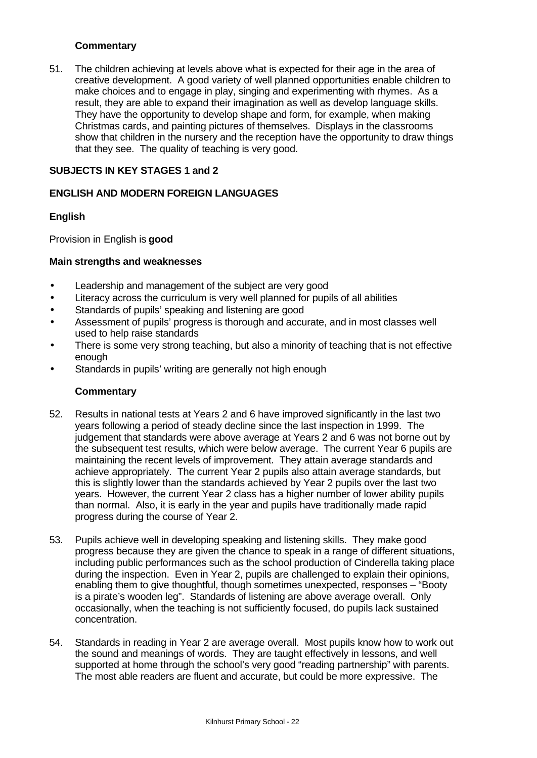## **Commentary**

51. The children achieving at levels above what is expected for their age in the area of creative development. A good variety of well planned opportunities enable children to make choices and to engage in play, singing and experimenting with rhymes. As a result, they are able to expand their imagination as well as develop language skills. They have the opportunity to develop shape and form, for example, when making Christmas cards, and painting pictures of themselves. Displays in the classrooms show that children in the nursery and the reception have the opportunity to draw things that they see. The quality of teaching is very good.

## **SUBJECTS IN KEY STAGES 1 and 2**

## **ENGLISH AND MODERN FOREIGN LANGUAGES**

## **English**

Provision in English is **good**

## **Main strengths and weaknesses**

- Leadership and management of the subject are very good
- Literacy across the curriculum is very well planned for pupils of all abilities
- Standards of pupils' speaking and listening are good
- Assessment of pupils' progress is thorough and accurate, and in most classes well used to help raise standards
- There is some very strong teaching, but also a minority of teaching that is not effective enough
- Standards in pupils' writing are generally not high enough

## **Commentary**

- 52. Results in national tests at Years 2 and 6 have improved significantly in the last two years following a period of steady decline since the last inspection in 1999. The judgement that standards were above average at Years 2 and 6 was not borne out by the subsequent test results, which were below average. The current Year 6 pupils are maintaining the recent levels of improvement. They attain average standards and achieve appropriately. The current Year 2 pupils also attain average standards, but this is slightly lower than the standards achieved by Year 2 pupils over the last two years. However, the current Year 2 class has a higher number of lower ability pupils than normal. Also, it is early in the year and pupils have traditionally made rapid progress during the course of Year 2.
- 53. Pupils achieve well in developing speaking and listening skills. They make good progress because they are given the chance to speak in a range of different situations, including public performances such as the school production of Cinderella taking place during the inspection. Even in Year 2, pupils are challenged to explain their opinions, enabling them to give thoughtful, though sometimes unexpected, responses – "Booty is a pirate's wooden leg". Standards of listening are above average overall. Only occasionally, when the teaching is not sufficiently focused, do pupils lack sustained concentration.
- 54. Standards in reading in Year 2 are average overall. Most pupils know how to work out the sound and meanings of words. They are taught effectively in lessons, and well supported at home through the school's very good "reading partnership" with parents. The most able readers are fluent and accurate, but could be more expressive. The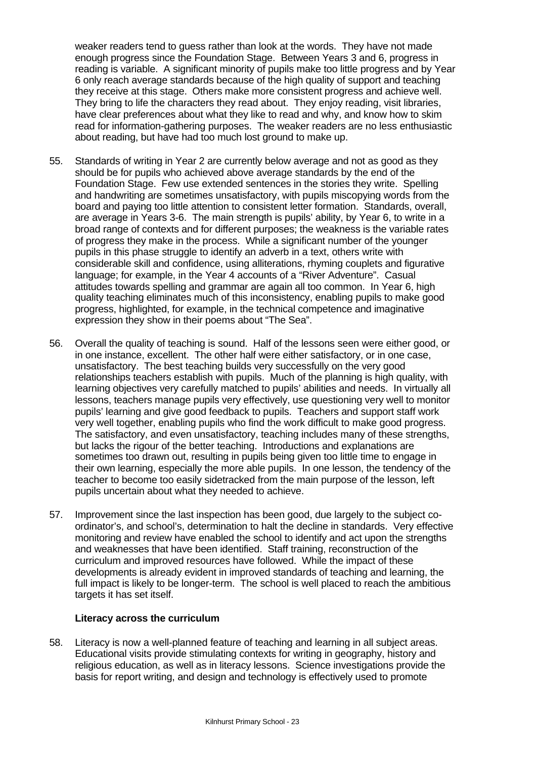weaker readers tend to guess rather than look at the words. They have not made enough progress since the Foundation Stage. Between Years 3 and 6, progress in reading is variable. A significant minority of pupils make too little progress and by Year 6 only reach average standards because of the high quality of support and teaching they receive at this stage. Others make more consistent progress and achieve well. They bring to life the characters they read about. They enjoy reading, visit libraries, have clear preferences about what they like to read and why, and know how to skim read for information-gathering purposes. The weaker readers are no less enthusiastic about reading, but have had too much lost ground to make up.

- 55. Standards of writing in Year 2 are currently below average and not as good as they should be for pupils who achieved above average standards by the end of the Foundation Stage. Few use extended sentences in the stories they write. Spelling and handwriting are sometimes unsatisfactory, with pupils miscopying words from the board and paying too little attention to consistent letter formation. Standards, overall, are average in Years 3-6. The main strength is pupils' ability, by Year 6, to write in a broad range of contexts and for different purposes; the weakness is the variable rates of progress they make in the process. While a significant number of the younger pupils in this phase struggle to identify an adverb in a text, others write with considerable skill and confidence, using alliterations, rhyming couplets and figurative language; for example, in the Year 4 accounts of a "River Adventure". Casual attitudes towards spelling and grammar are again all too common. In Year 6, high quality teaching eliminates much of this inconsistency, enabling pupils to make good progress, highlighted, for example, in the technical competence and imaginative expression they show in their poems about "The Sea".
- 56. Overall the quality of teaching is sound. Half of the lessons seen were either good, or in one instance, excellent. The other half were either satisfactory, or in one case, unsatisfactory. The best teaching builds very successfully on the very good relationships teachers establish with pupils. Much of the planning is high quality, with learning objectives very carefully matched to pupils' abilities and needs. In virtually all lessons, teachers manage pupils very effectively, use questioning very well to monitor pupils' learning and give good feedback to pupils. Teachers and support staff work very well together, enabling pupils who find the work difficult to make good progress. The satisfactory, and even unsatisfactory, teaching includes many of these strengths, but lacks the rigour of the better teaching. Introductions and explanations are sometimes too drawn out, resulting in pupils being given too little time to engage in their own learning, especially the more able pupils. In one lesson, the tendency of the teacher to become too easily sidetracked from the main purpose of the lesson, left pupils uncertain about what they needed to achieve.
- 57. Improvement since the last inspection has been good, due largely to the subject coordinator's, and school's, determination to halt the decline in standards. Very effective monitoring and review have enabled the school to identify and act upon the strengths and weaknesses that have been identified. Staff training, reconstruction of the curriculum and improved resources have followed. While the impact of these developments is already evident in improved standards of teaching and learning, the full impact is likely to be longer-term. The school is well placed to reach the ambitious targets it has set itself.

## **Literacy across the curriculum**

58. Literacy is now a well-planned feature of teaching and learning in all subject areas. Educational visits provide stimulating contexts for writing in geography, history and religious education, as well as in literacy lessons. Science investigations provide the basis for report writing, and design and technology is effectively used to promote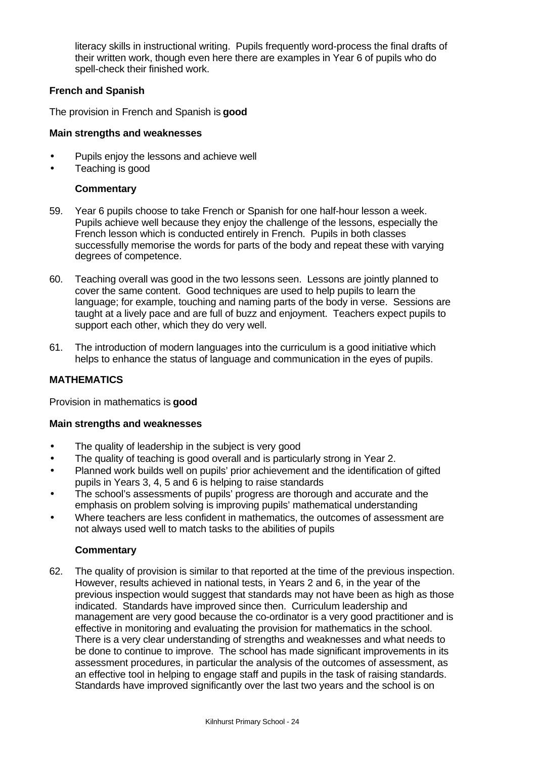literacy skills in instructional writing. Pupils frequently word-process the final drafts of their written work, though even here there are examples in Year 6 of pupils who do spell-check their finished work.

# **French and Spanish**

The provision in French and Spanish is **good**

## **Main strengths and weaknesses**

- Pupils enjoy the lessons and achieve well
- Teaching is good

## **Commentary**

- 59. Year 6 pupils choose to take French or Spanish for one half-hour lesson a week. Pupils achieve well because they enjoy the challenge of the lessons, especially the French lesson which is conducted entirely in French. Pupils in both classes successfully memorise the words for parts of the body and repeat these with varying degrees of competence.
- 60. Teaching overall was good in the two lessons seen. Lessons are jointly planned to cover the same content. Good techniques are used to help pupils to learn the language; for example, touching and naming parts of the body in verse. Sessions are taught at a lively pace and are full of buzz and enjoyment. Teachers expect pupils to support each other, which they do very well.
- 61. The introduction of modern languages into the curriculum is a good initiative which helps to enhance the status of language and communication in the eyes of pupils.

## **MATHEMATICS**

Provision in mathematics is **good**

## **Main strengths and weaknesses**

- The quality of leadership in the subject is very good
- The quality of teaching is good overall and is particularly strong in Year 2.
- Planned work builds well on pupils' prior achievement and the identification of gifted pupils in Years 3, 4, 5 and 6 is helping to raise standards
- The school's assessments of pupils' progress are thorough and accurate and the emphasis on problem solving is improving pupils' mathematical understanding
- Where teachers are less confident in mathematics, the outcomes of assessment are not always used well to match tasks to the abilities of pupils

## **Commentary**

62. The quality of provision is similar to that reported at the time of the previous inspection. However, results achieved in national tests, in Years 2 and 6, in the year of the previous inspection would suggest that standards may not have been as high as those indicated. Standards have improved since then. Curriculum leadership and management are very good because the co-ordinator is a very good practitioner and is effective in monitoring and evaluating the provision for mathematics in the school. There is a very clear understanding of strengths and weaknesses and what needs to be done to continue to improve. The school has made significant improvements in its assessment procedures, in particular the analysis of the outcomes of assessment, as an effective tool in helping to engage staff and pupils in the task of raising standards. Standards have improved significantly over the last two years and the school is on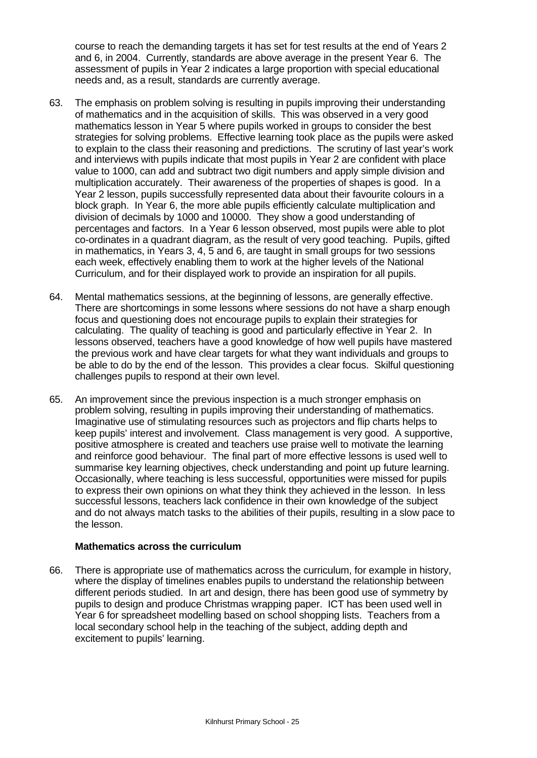course to reach the demanding targets it has set for test results at the end of Years 2 and 6, in 2004. Currently, standards are above average in the present Year 6. The assessment of pupils in Year 2 indicates a large proportion with special educational needs and, as a result, standards are currently average.

- 63. The emphasis on problem solving is resulting in pupils improving their understanding of mathematics and in the acquisition of skills. This was observed in a very good mathematics lesson in Year 5 where pupils worked in groups to consider the best strategies for solving problems. Effective learning took place as the pupils were asked to explain to the class their reasoning and predictions. The scrutiny of last year's work and interviews with pupils indicate that most pupils in Year 2 are confident with place value to 1000, can add and subtract two digit numbers and apply simple division and multiplication accurately. Their awareness of the properties of shapes is good. In a Year 2 lesson, pupils successfully represented data about their favourite colours in a block graph. In Year 6, the more able pupils efficiently calculate multiplication and division of decimals by 1000 and 10000. They show a good understanding of percentages and factors. In a Year 6 lesson observed, most pupils were able to plot co-ordinates in a quadrant diagram, as the result of very good teaching. Pupils, gifted in mathematics, in Years 3, 4, 5 and 6, are taught in small groups for two sessions each week, effectively enabling them to work at the higher levels of the National Curriculum, and for their displayed work to provide an inspiration for all pupils.
- 64. Mental mathematics sessions, at the beginning of lessons, are generally effective. There are shortcomings in some lessons where sessions do not have a sharp enough focus and questioning does not encourage pupils to explain their strategies for calculating. The quality of teaching is good and particularly effective in Year 2. In lessons observed, teachers have a good knowledge of how well pupils have mastered the previous work and have clear targets for what they want individuals and groups to be able to do by the end of the lesson. This provides a clear focus. Skilful questioning challenges pupils to respond at their own level.
- 65. An improvement since the previous inspection is a much stronger emphasis on problem solving, resulting in pupils improving their understanding of mathematics. Imaginative use of stimulating resources such as projectors and flip charts helps to keep pupils' interest and involvement. Class management is very good. A supportive, positive atmosphere is created and teachers use praise well to motivate the learning and reinforce good behaviour. The final part of more effective lessons is used well to summarise key learning objectives, check understanding and point up future learning. Occasionally, where teaching is less successful, opportunities were missed for pupils to express their own opinions on what they think they achieved in the lesson. In less successful lessons, teachers lack confidence in their own knowledge of the subject and do not always match tasks to the abilities of their pupils, resulting in a slow pace to the lesson.

#### **Mathematics across the curriculum**

66. There is appropriate use of mathematics across the curriculum, for example in history, where the display of timelines enables pupils to understand the relationship between different periods studied. In art and design, there has been good use of symmetry by pupils to design and produce Christmas wrapping paper. ICT has been used well in Year 6 for spreadsheet modelling based on school shopping lists. Teachers from a local secondary school help in the teaching of the subject, adding depth and excitement to pupils' learning.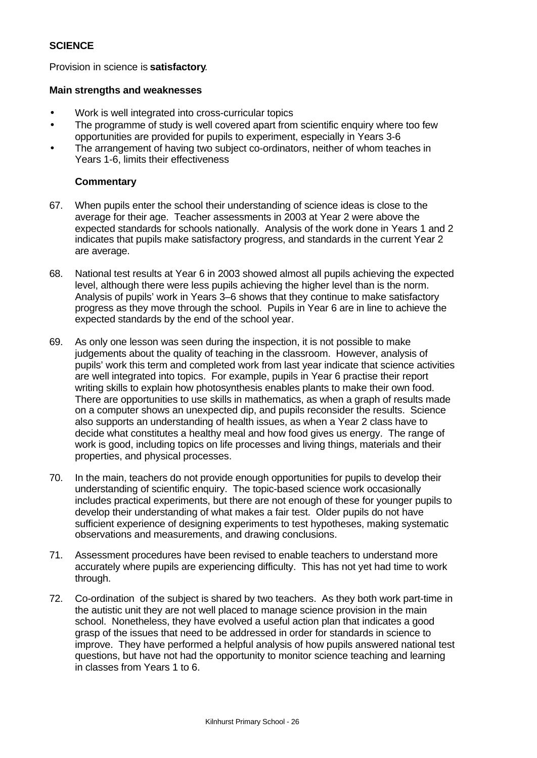# **SCIENCE**

Provision in science is **satisfactory**.

#### **Main strengths and weaknesses**

- Work is well integrated into cross-curricular topics
- The programme of study is well covered apart from scientific enguiry where too few opportunities are provided for pupils to experiment, especially in Years 3-6
- The arrangement of having two subject co-ordinators, neither of whom teaches in Years 1-6, limits their effectiveness

## **Commentary**

- 67. When pupils enter the school their understanding of science ideas is close to the average for their age. Teacher assessments in 2003 at Year 2 were above the expected standards for schools nationally. Analysis of the work done in Years 1 and 2 indicates that pupils make satisfactory progress, and standards in the current Year 2 are average.
- 68. National test results at Year 6 in 2003 showed almost all pupils achieving the expected level, although there were less pupils achieving the higher level than is the norm. Analysis of pupils' work in Years 3–6 shows that they continue to make satisfactory progress as they move through the school. Pupils in Year 6 are in line to achieve the expected standards by the end of the school year.
- 69. As only one lesson was seen during the inspection, it is not possible to make judgements about the quality of teaching in the classroom. However, analysis of pupils' work this term and completed work from last year indicate that science activities are well integrated into topics. For example, pupils in Year 6 practise their report writing skills to explain how photosynthesis enables plants to make their own food. There are opportunities to use skills in mathematics, as when a graph of results made on a computer shows an unexpected dip, and pupils reconsider the results. Science also supports an understanding of health issues, as when a Year 2 class have to decide what constitutes a healthy meal and how food gives us energy. The range of work is good, including topics on life processes and living things, materials and their properties, and physical processes.
- 70. In the main, teachers do not provide enough opportunities for pupils to develop their understanding of scientific enquiry. The topic-based science work occasionally includes practical experiments, but there are not enough of these for younger pupils to develop their understanding of what makes a fair test. Older pupils do not have sufficient experience of designing experiments to test hypotheses, making systematic observations and measurements, and drawing conclusions.
- 71. Assessment procedures have been revised to enable teachers to understand more accurately where pupils are experiencing difficulty. This has not yet had time to work through.
- 72. Co-ordination of the subject is shared by two teachers. As they both work part-time in the autistic unit they are not well placed to manage science provision in the main school. Nonetheless, they have evolved a useful action plan that indicates a good grasp of the issues that need to be addressed in order for standards in science to improve. They have performed a helpful analysis of how pupils answered national test questions, but have not had the opportunity to monitor science teaching and learning in classes from Years 1 to 6.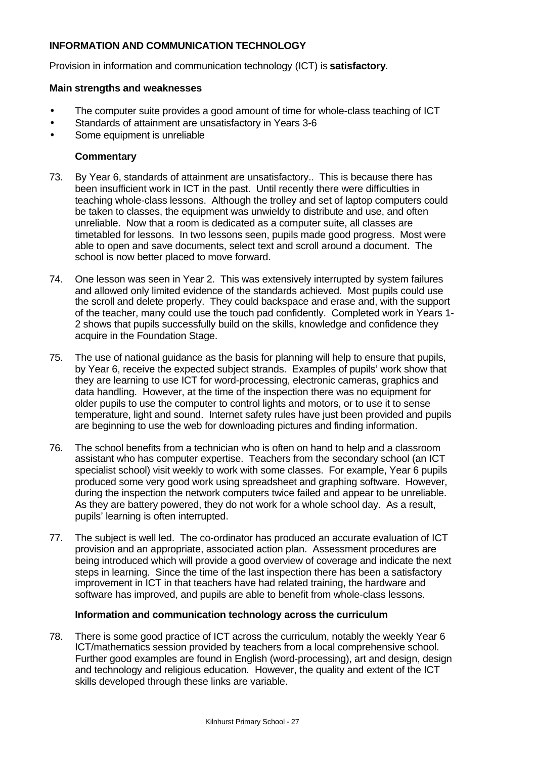# **INFORMATION AND COMMUNICATION TECHNOLOGY**

Provision in information and communication technology (ICT) is **satisfactory**.

#### **Main strengths and weaknesses**

- The computer suite provides a good amount of time for whole-class teaching of ICT
- Standards of attainment are unsatisfactory in Years 3-6
- Some equipment is unreliable

#### **Commentary**

- 73. By Year 6, standards of attainment are unsatisfactory.. This is because there has been insufficient work in ICT in the past. Until recently there were difficulties in teaching whole-class lessons. Although the trolley and set of laptop computers could be taken to classes, the equipment was unwieldy to distribute and use, and often unreliable. Now that a room is dedicated as a computer suite, all classes are timetabled for lessons. In two lessons seen, pupils made good progress. Most were able to open and save documents, select text and scroll around a document. The school is now better placed to move forward.
- 74. One lesson was seen in Year 2. This was extensively interrupted by system failures and allowed only limited evidence of the standards achieved. Most pupils could use the scroll and delete properly. They could backspace and erase and, with the support of the teacher, many could use the touch pad confidently. Completed work in Years 1- 2 shows that pupils successfully build on the skills, knowledge and confidence they acquire in the Foundation Stage.
- 75. The use of national guidance as the basis for planning will help to ensure that pupils, by Year 6, receive the expected subject strands. Examples of pupils' work show that they are learning to use ICT for word-processing, electronic cameras, graphics and data handling. However, at the time of the inspection there was no equipment for older pupils to use the computer to control lights and motors, or to use it to sense temperature, light and sound. Internet safety rules have just been provided and pupils are beginning to use the web for downloading pictures and finding information.
- 76. The school benefits from a technician who is often on hand to help and a classroom assistant who has computer expertise. Teachers from the secondary school (an ICT specialist school) visit weekly to work with some classes. For example, Year 6 pupils produced some very good work using spreadsheet and graphing software. However, during the inspection the network computers twice failed and appear to be unreliable. As they are battery powered, they do not work for a whole school day. As a result, pupils' learning is often interrupted.
- 77. The subject is well led. The co-ordinator has produced an accurate evaluation of ICT provision and an appropriate, associated action plan. Assessment procedures are being introduced which will provide a good overview of coverage and indicate the next steps in learning. Since the time of the last inspection there has been a satisfactory improvement in ICT in that teachers have had related training, the hardware and software has improved, and pupils are able to benefit from whole-class lessons.

#### **Information and communication technology across the curriculum**

78. There is some good practice of ICT across the curriculum, notably the weekly Year 6 ICT/mathematics session provided by teachers from a local comprehensive school. Further good examples are found in English (word-processing), art and design, design and technology and religious education. However, the quality and extent of the ICT skills developed through these links are variable.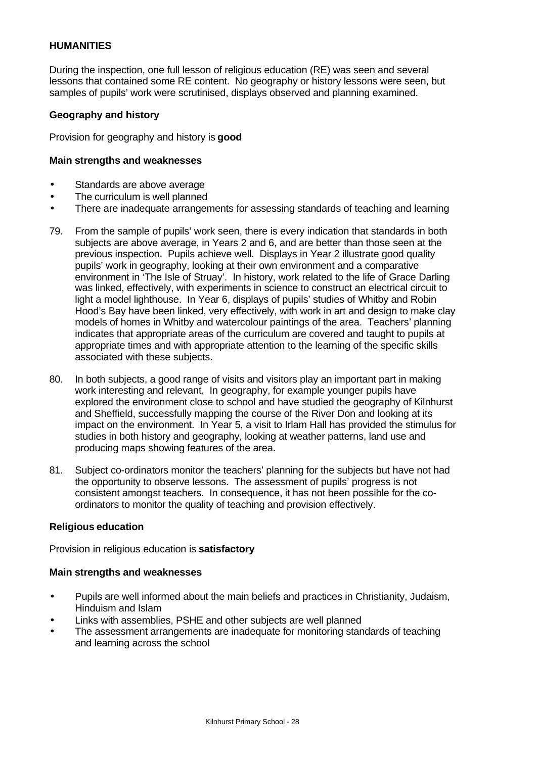## **HUMANITIES**

During the inspection, one full lesson of religious education (RE) was seen and several lessons that contained some RE content. No geography or history lessons were seen, but samples of pupils' work were scrutinised, displays observed and planning examined.

#### **Geography and history**

Provision for geography and history is **good**

#### **Main strengths and weaknesses**

- Standards are above average
- The curriculum is well planned
- There are inadequate arrangements for assessing standards of teaching and learning
- 79. From the sample of pupils' work seen, there is every indication that standards in both subjects are above average, in Years 2 and 6, and are better than those seen at the previous inspection. Pupils achieve well. Displays in Year 2 illustrate good quality pupils' work in geography, looking at their own environment and a comparative environment in 'The Isle of Struay'. In history, work related to the life of Grace Darling was linked, effectively, with experiments in science to construct an electrical circuit to light a model lighthouse. In Year 6, displays of pupils' studies of Whitby and Robin Hood's Bay have been linked, very effectively, with work in art and design to make clay models of homes in Whitby and watercolour paintings of the area. Teachers' planning indicates that appropriate areas of the curriculum are covered and taught to pupils at appropriate times and with appropriate attention to the learning of the specific skills associated with these subjects.
- 80. In both subjects, a good range of visits and visitors play an important part in making work interesting and relevant. In geography, for example younger pupils have explored the environment close to school and have studied the geography of Kilnhurst and Sheffield, successfully mapping the course of the River Don and looking at its impact on the environment. In Year 5, a visit to Irlam Hall has provided the stimulus for studies in both history and geography, looking at weather patterns, land use and producing maps showing features of the area.
- 81. Subject co-ordinators monitor the teachers' planning for the subjects but have not had the opportunity to observe lessons. The assessment of pupils' progress is not consistent amongst teachers. In consequence, it has not been possible for the coordinators to monitor the quality of teaching and provision effectively.

#### **Religious education**

Provision in religious education is **satisfactory**

#### **Main strengths and weaknesses**

- Pupils are well informed about the main beliefs and practices in Christianity, Judaism, Hinduism and Islam
- Links with assemblies, PSHE and other subjects are well planned
- The assessment arrangements are inadequate for monitoring standards of teaching and learning across the school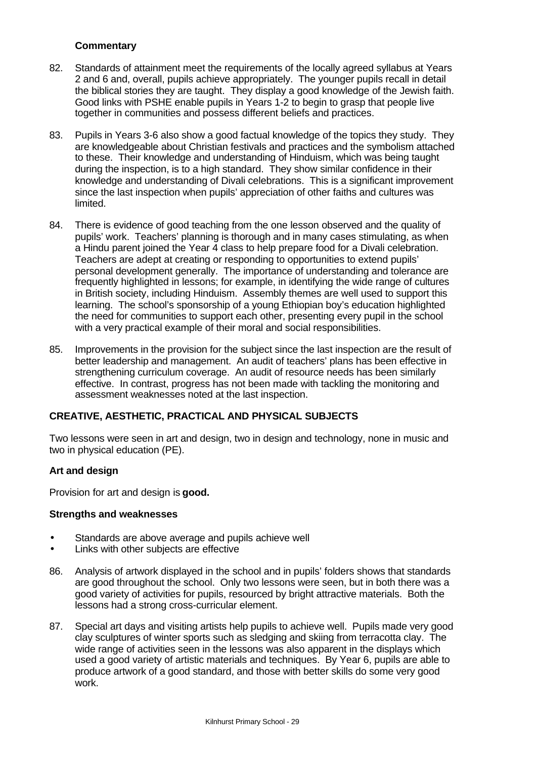# **Commentary**

- 82. Standards of attainment meet the requirements of the locally agreed syllabus at Years 2 and 6 and, overall, pupils achieve appropriately. The younger pupils recall in detail the biblical stories they are taught. They display a good knowledge of the Jewish faith. Good links with PSHE enable pupils in Years 1-2 to begin to grasp that people live together in communities and possess different beliefs and practices.
- 83. Pupils in Years 3-6 also show a good factual knowledge of the topics they study. They are knowledgeable about Christian festivals and practices and the symbolism attached to these. Their knowledge and understanding of Hinduism, which was being taught during the inspection, is to a high standard. They show similar confidence in their knowledge and understanding of Divali celebrations. This is a significant improvement since the last inspection when pupils' appreciation of other faiths and cultures was limited.
- 84. There is evidence of good teaching from the one lesson observed and the quality of pupils' work. Teachers' planning is thorough and in many cases stimulating, as when a Hindu parent joined the Year 4 class to help prepare food for a Divali celebration. Teachers are adept at creating or responding to opportunities to extend pupils' personal development generally. The importance of understanding and tolerance are frequently highlighted in lessons; for example, in identifying the wide range of cultures in British society, including Hinduism. Assembly themes are well used to support this learning. The school's sponsorship of a young Ethiopian boy's education highlighted the need for communities to support each other, presenting every pupil in the school with a very practical example of their moral and social responsibilities.
- 85. Improvements in the provision for the subject since the last inspection are the result of better leadership and management. An audit of teachers' plans has been effective in strengthening curriculum coverage. An audit of resource needs has been similarly effective. In contrast, progress has not been made with tackling the monitoring and assessment weaknesses noted at the last inspection.

## **CREATIVE, AESTHETIC, PRACTICAL AND PHYSICAL SUBJECTS**

Two lessons were seen in art and design, two in design and technology, none in music and two in physical education (PE).

## **Art and design**

Provision for art and design is **good.**

#### **Strengths and weaknesses**

- Standards are above average and pupils achieve well
- Links with other subjects are effective
- 86. Analysis of artwork displayed in the school and in pupils' folders shows that standards are good throughout the school. Only two lessons were seen, but in both there was a good variety of activities for pupils, resourced by bright attractive materials. Both the lessons had a strong cross-curricular element.
- 87. Special art days and visiting artists help pupils to achieve well. Pupils made very good clay sculptures of winter sports such as sledging and skiing from terracotta clay. The wide range of activities seen in the lessons was also apparent in the displays which used a good variety of artistic materials and techniques. By Year 6, pupils are able to produce artwork of a good standard, and those with better skills do some very good work.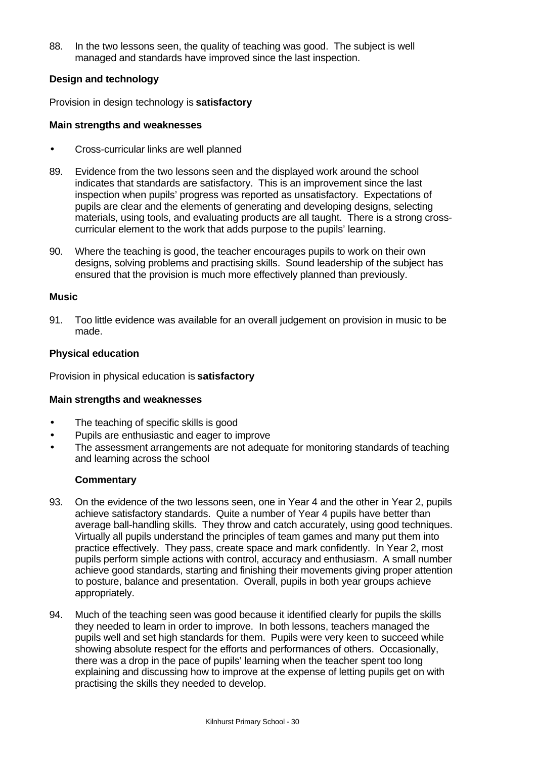88. In the two lessons seen, the quality of teaching was good. The subject is well managed and standards have improved since the last inspection.

## **Design and technology**

Provision in design technology is **satisfactory**

## **Main strengths and weaknesses**

- Cross-curricular links are well planned
- 89. Evidence from the two lessons seen and the displayed work around the school indicates that standards are satisfactory. This is an improvement since the last inspection when pupils' progress was reported as unsatisfactory. Expectations of pupils are clear and the elements of generating and developing designs, selecting materials, using tools, and evaluating products are all taught. There is a strong crosscurricular element to the work that adds purpose to the pupils' learning.
- 90. Where the teaching is good, the teacher encourages pupils to work on their own designs, solving problems and practising skills. Sound leadership of the subject has ensured that the provision is much more effectively planned than previously.

## **Music**

91. Too little evidence was available for an overall judgement on provision in music to be made.

## **Physical education**

Provision in physical education is **satisfactory**

## **Main strengths and weaknesses**

- The teaching of specific skills is good
- Pupils are enthusiastic and eager to improve
- The assessment arrangements are not adequate for monitoring standards of teaching and learning across the school

## **Commentary**

- 93. On the evidence of the two lessons seen, one in Year 4 and the other in Year 2, pupils achieve satisfactory standards. Quite a number of Year 4 pupils have better than average ball-handling skills. They throw and catch accurately, using good techniques. Virtually all pupils understand the principles of team games and many put them into practice effectively. They pass, create space and mark confidently. In Year 2, most pupils perform simple actions with control, accuracy and enthusiasm. A small number achieve good standards, starting and finishing their movements giving proper attention to posture, balance and presentation. Overall, pupils in both year groups achieve appropriately.
- 94. Much of the teaching seen was good because it identified clearly for pupils the skills they needed to learn in order to improve. In both lessons, teachers managed the pupils well and set high standards for them. Pupils were very keen to succeed while showing absolute respect for the efforts and performances of others. Occasionally, there was a drop in the pace of pupils' learning when the teacher spent too long explaining and discussing how to improve at the expense of letting pupils get on with practising the skills they needed to develop.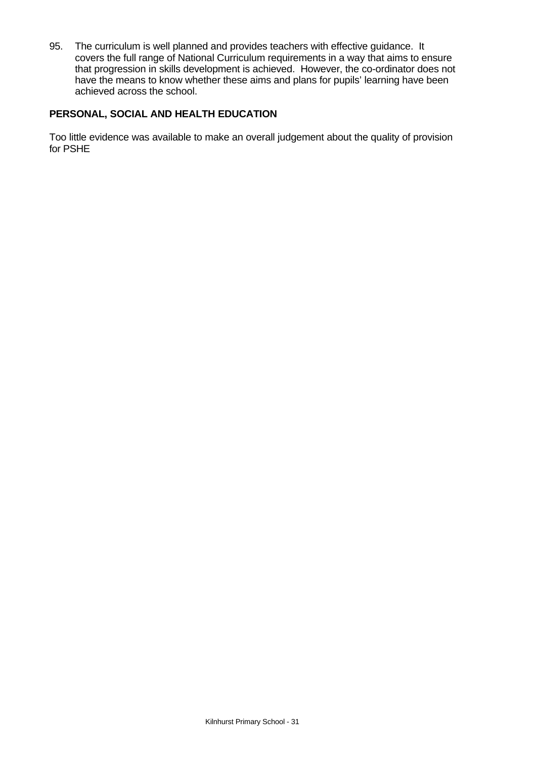95. The curriculum is well planned and provides teachers with effective guidance. It covers the full range of National Curriculum requirements in a way that aims to ensure that progression in skills development is achieved. However, the co-ordinator does not have the means to know whether these aims and plans for pupils' learning have been achieved across the school.

## **PERSONAL, SOCIAL AND HEALTH EDUCATION**

Too little evidence was available to make an overall judgement about the quality of provision for PSHE